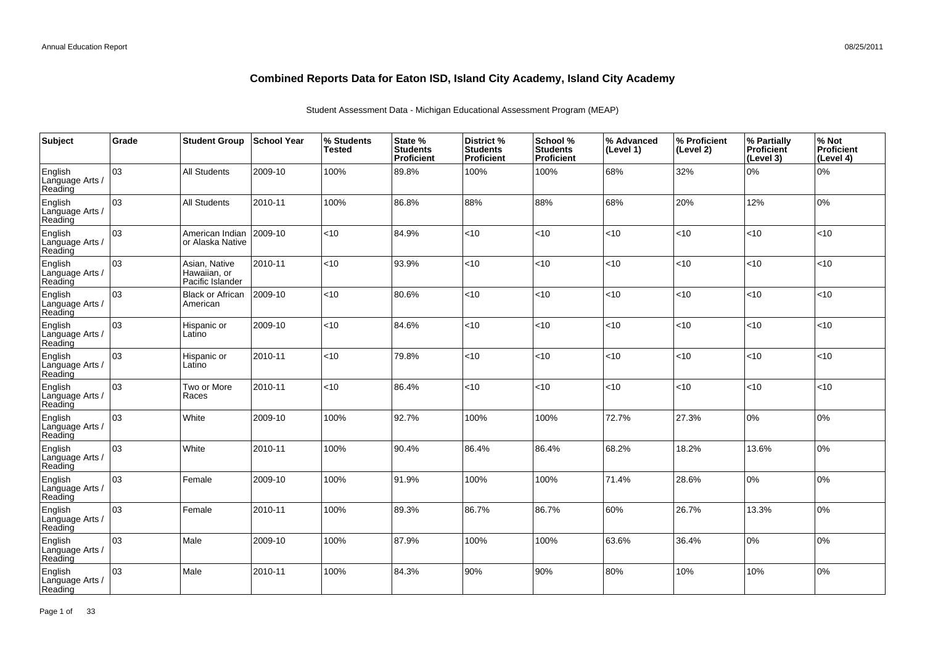| <b>Subject</b>                        | Grade | <b>Student Group</b>                              | School Year | % Students<br><b>Tested</b> | State %<br><b>Students</b><br>Proficient | District %<br><b>Students</b><br><b>Proficient</b> | School %<br><b>Students</b><br><b>Proficient</b> | % Advanced<br>(Level 1) | % Proficient<br>(Level 2) | % Partially<br>Proficient<br>(Level 3) | % Not<br>Proficient<br>(Level 4) |
|---------------------------------------|-------|---------------------------------------------------|-------------|-----------------------------|------------------------------------------|----------------------------------------------------|--------------------------------------------------|-------------------------|---------------------------|----------------------------------------|----------------------------------|
| English<br>Language Arts /<br>Reading | 03    | <b>All Students</b>                               | 2009-10     | 100%                        | 89.8%                                    | 100%                                               | 100%                                             | 68%                     | 32%                       | 0%                                     | 0%                               |
| English<br>Language Arts /<br>Reading | 03    | <b>All Students</b>                               | 2010-11     | 100%                        | 86.8%                                    | 88%                                                | 88%                                              | 68%                     | 20%                       | 12%                                    | 0%                               |
| English<br>Language Arts /<br>Reading | 03    | American Indian<br>or Alaska Native               | 2009-10     | <10                         | 84.9%                                    | <10                                                | < 10                                             | <10                     | $<$ 10                    | < 10                                   | <10                              |
| English<br>Language Arts /<br>Reading | 03    | Asian, Native<br>Hawaiian, or<br>Pacific Islander | 2010-11     | <10                         | 93.9%                                    | <10                                                | <10                                              | <10                     | $10^{-1}$                 | <10                                    | <10                              |
| English<br>Language Arts /<br>Reading | 03    | <b>Black or African</b><br>American               | 2009-10     | <10                         | 80.6%                                    | <10                                                | < 10                                             | <10                     | <10                       | < 10                                   | <10                              |
| English<br>Language Arts<br>Reading   | 03    | Hispanic or<br>Latino                             | 2009-10     | <10                         | 84.6%                                    | <10                                                | <10                                              | <10                     | <10                       | <10                                    | <10                              |
| English<br>Language Arts /<br>Reading | 03    | Hispanic or<br>Latino                             | 2010-11     | <10                         | 79.8%                                    | <10                                                | < 10                                             | <10                     | <10                       | < 10                                   | <10                              |
| English<br>Language Arts<br>Reading   | 03    | Two or More<br>Races                              | 2010-11     | <10                         | 86.4%                                    | <10                                                | <10                                              | <10                     | <10                       | <10                                    | <10                              |
| English<br>Language Arts<br>Reading   | 03    | White                                             | 2009-10     | 100%                        | 92.7%                                    | 100%                                               | 100%                                             | 72.7%                   | 27.3%                     | 10%                                    | 0%                               |
| English<br>Language Arts<br>Reading   | 03    | White                                             | 2010-11     | 100%                        | 90.4%                                    | 86.4%                                              | 86.4%                                            | 68.2%                   | 18.2%                     | 13.6%                                  | 0%                               |
| English<br>Language Arts<br>Reading   | 03    | Female                                            | 2009-10     | 100%                        | 91.9%                                    | 100%                                               | 100%                                             | 71.4%                   | 28.6%                     | 10%                                    | 0%                               |
| English<br>Language Arts<br>Reading   | 03    | Female                                            | 2010-11     | 100%                        | 89.3%                                    | 86.7%                                              | 86.7%                                            | 60%                     | 26.7%                     | 13.3%                                  | 0%                               |
| English<br>Language Arts<br>Reading   | 03    | Male                                              | 2009-10     | 100%                        | 87.9%                                    | 100%                                               | 100%                                             | 63.6%                   | 36.4%                     | 10%                                    | 0%                               |
| English<br>Language Arts<br>Reading   | 03    | Male                                              | 2010-11     | 100%                        | 84.3%                                    | 90%                                                | 90%                                              | 80%                     | 10%                       | 10%                                    | 0%                               |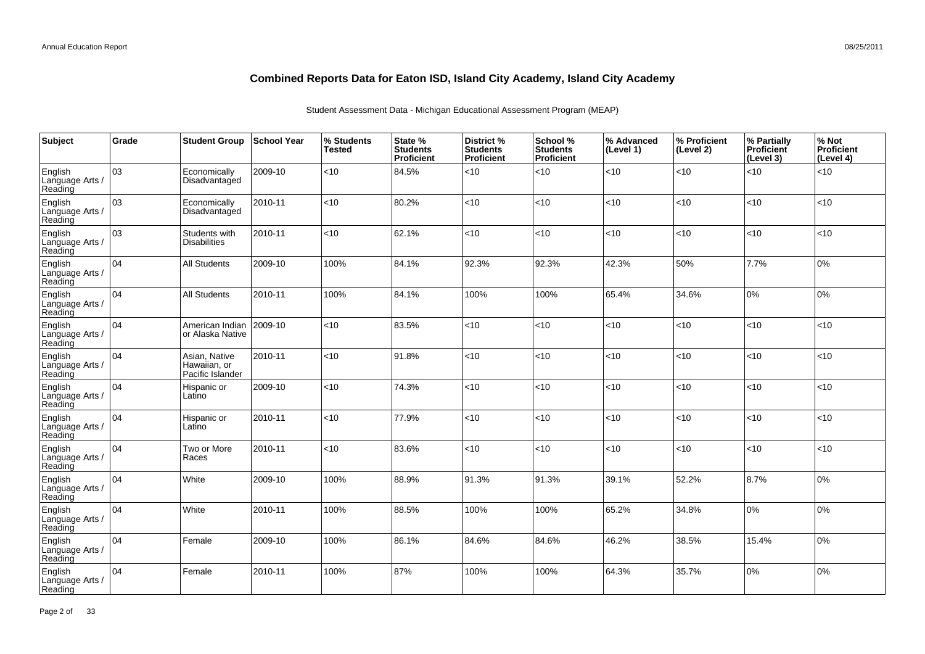| Subject                               | Grade | <b>Student Group</b>                              | <b>School Year</b> | % Students<br><b>Tested</b> | State %<br><b>Students</b><br><b>Proficient</b> | District %<br><b>Students</b><br><b>Proficient</b> | School %<br><b>Students</b><br>Proficient | % Advanced<br>(Level 1) | % Proficient<br>(Level 2) | % Partially<br>Proficient<br>(Level 3) | % Not<br>Proficient<br>(Level 4) |
|---------------------------------------|-------|---------------------------------------------------|--------------------|-----------------------------|-------------------------------------------------|----------------------------------------------------|-------------------------------------------|-------------------------|---------------------------|----------------------------------------|----------------------------------|
| English<br>Language Arts /<br>Reading | 03    | Economically<br>Disadvantaged                     | 2009-10            | < 10                        | 84.5%                                           | < 10                                               | <10                                       | < 10                    | < 10                      | < 10                                   | <10                              |
| English<br>Language Arts /<br>Reading | 03    | Economically<br>Disadvantaged                     | 2010-11            | <10                         | 80.2%                                           | < 10                                               | <10                                       | <10                     | < 10                      | < 10                                   | <10                              |
| English<br>Language Arts /<br>Reading | 03    | Students with<br><b>Disabilities</b>              | 2010-11            | <10                         | 62.1%                                           | <10                                                | <10                                       | < 10                    | $<$ 10                    | <10                                    | <10                              |
| English<br>Language Arts /<br>Reading | 04    | All Students                                      | 2009-10            | 100%                        | 84.1%                                           | 92.3%                                              | 92.3%                                     | 42.3%                   | 50%                       | 7.7%                                   | 0%                               |
| English<br>Language Arts /<br>Reading | 04    | <b>All Students</b>                               | 2010-11            | 100%                        | 84.1%                                           | 100%                                               | 100%                                      | 65.4%                   | 34.6%                     | 0%                                     | 0%                               |
| English<br>Language Arts /<br>Reading | 04    | American Indian<br>or Alaska Native               | 2009-10            | <10                         | 83.5%                                           | < 10                                               | <10                                       | < 10                    | < 10                      | 10                                     | <10                              |
| English<br>Language Arts /<br>Reading | 04    | Asian, Native<br>Hawaiian, or<br>Pacific Islander | 2010-11            | < 10                        | 91.8%                                           | < 10                                               | <10                                       | < 10                    | < 10                      | 10                                     | <10                              |
| English<br>Language Arts<br>Reading   | 04    | Hispanic or<br>Latino                             | 2009-10            | < 10                        | 74.3%                                           | < 10                                               | <10                                       | < 10                    | < 10                      | < 10                                   | <10                              |
| English<br>Language Arts /<br>Reading | 04    | Hispanic or<br>Latino                             | 2010-11            | < 10                        | 77.9%                                           | < 10                                               | <10                                       | < 10                    | $<$ 10                    | < 10                                   | <10                              |
| English<br>Language Arts<br>Reading   | 04    | Two or More<br>Races                              | 2010-11            | <10                         | 83.6%                                           | <10                                                | <10                                       | <10                     | < 10                      | <10                                    | <10                              |
| English<br>Language Arts /<br>Reading | 04    | White                                             | 2009-10            | 100%                        | 88.9%                                           | 91.3%                                              | 91.3%                                     | 39.1%                   | 52.2%                     | 8.7%                                   | 0%                               |
| English<br>Language Arts<br>Reading   | 04    | White                                             | 2010-11            | 100%                        | 88.5%                                           | 100%                                               | 100%                                      | 65.2%                   | 34.8%                     | 0%                                     | 0%                               |
| English<br>Language Arts /<br>Reading | 04    | Female                                            | 2009-10            | 100%                        | 86.1%                                           | 84.6%                                              | 84.6%                                     | 46.2%                   | 38.5%                     | 15.4%                                  | 0%                               |
| English<br>Language Arts<br>Reading   | 04    | Female                                            | 2010-11            | 100%                        | 87%                                             | 100%                                               | 100%                                      | 64.3%                   | 35.7%                     | 0%                                     | 0%                               |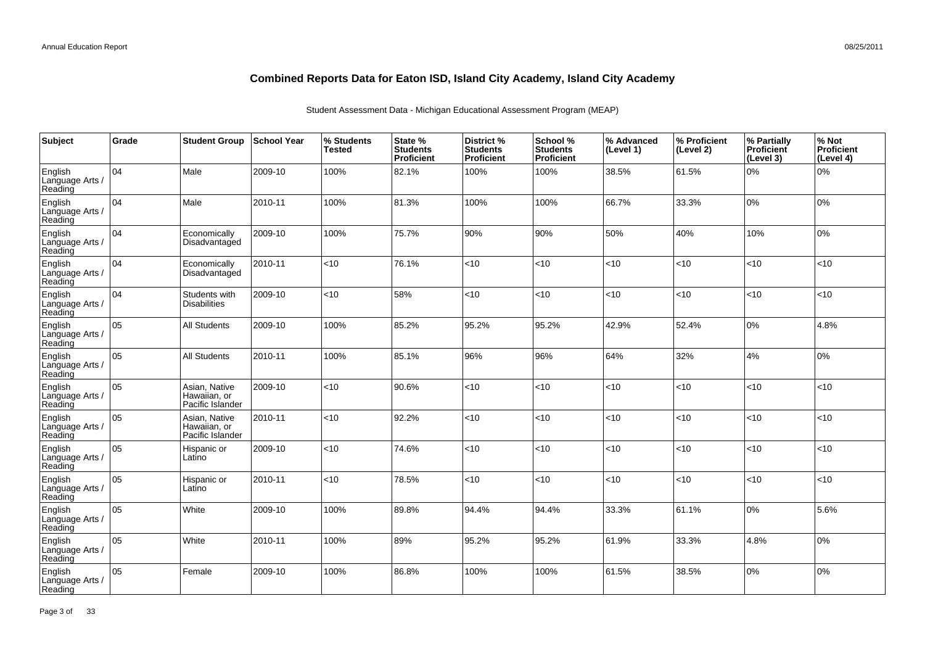| Subject                               | Grade | <b>Student Group</b>                              | <b>School Year</b> | % Students<br><b>Tested</b> | State %<br><b>Students</b><br>Proficient | District %<br><b>Students</b><br><b>Proficient</b> | School %<br><b>Students</b><br><b>Proficient</b> | % Advanced<br>(Level 1) | % Proficient<br>(Level 2) | % Partially<br><b>Proficient</b><br>(Level 3) | % Not<br>Proficient<br>(Level 4) |
|---------------------------------------|-------|---------------------------------------------------|--------------------|-----------------------------|------------------------------------------|----------------------------------------------------|--------------------------------------------------|-------------------------|---------------------------|-----------------------------------------------|----------------------------------|
| English<br>Language Arts /<br>Reading | 104   | Male                                              | 2009-10            | 100%                        | 82.1%                                    | 100%                                               | 100%                                             | 38.5%                   | 61.5%                     | 0%                                            | 0%                               |
| English<br>Language Arts /<br>Reading | 104   | Male                                              | 2010-11            | 100%                        | 81.3%                                    | 100%                                               | 100%                                             | 66.7%                   | 33.3%                     | 0%                                            | 10%                              |
| English<br>Language Arts /<br>Reading | 104   | Economically<br>Disadvantaged                     | 2009-10            | 100%                        | 75.7%                                    | 90%                                                | 90%                                              | 50%                     | 40%                       | 10%                                           | 0%                               |
| English<br>Language Arts /<br>Reading | 104   | Economically<br>Disadvantaged                     | 2010-11            | $<$ 10                      | 76.1%                                    | <10                                                | <10                                              | <10                     | <10                       | <10                                           | <10                              |
| English<br>Language Arts /<br>Reading | 104   | Students with<br><b>Disabilities</b>              | 2009-10            | <10                         | 58%                                      | <10                                                | < 10                                             | <10                     | <10                       | <10                                           | <10                              |
| English<br>Language Arts /<br>Reading | 05    | <b>All Students</b>                               | 2009-10            | 100%                        | 85.2%                                    | 95.2%                                              | 95.2%                                            | 42.9%                   | 52.4%                     | 0%                                            | 4.8%                             |
| English<br>Language Arts /<br>Reading | 05    | <b>All Students</b>                               | 2010-11            | 100%                        | 85.1%                                    | 96%                                                | 96%                                              | 64%                     | 32%                       | 4%                                            | 0%                               |
| English<br>Language Arts /<br>Reading | 05    | Asian, Native<br>Hawaiian, or<br>Pacific Islander | 2009-10            | <10                         | 90.6%                                    | <10                                                | <10                                              | <10                     | <10                       | <10                                           | <10                              |
| English<br>Language Arts /<br>Reading | 05    | Asian, Native<br>Hawaiian, or<br>Pacific Islander | 2010-11            | < 10                        | 92.2%                                    | <10                                                | < 10                                             | < 10                    | <10                       | <10                                           | <10                              |
| English<br>Language Arts /<br>Reading | 05    | Hispanic or<br>Latino                             | 2009-10            | $<$ 10                      | 74.6%                                    | <10                                                | <10                                              | <10                     | <10                       | <10                                           | <10                              |
| English<br>Language Arts /<br>Reading | 05    | Hispanic or<br>Latino                             | 2010-11            | <10                         | 78.5%                                    | <10                                                | < 10                                             | <10                     | <10                       | < 10                                          | <10                              |
| English<br>Language Arts /<br>Reading | 05    | White                                             | 2009-10            | 100%                        | 89.8%                                    | 94.4%                                              | 94.4%                                            | 33.3%                   | 61.1%                     | 0%                                            | 5.6%                             |
| English<br>Language Arts /<br>Reading | lo5   | White                                             | 2010-11            | 100%                        | 89%                                      | 95.2%                                              | 95.2%                                            | 61.9%                   | 33.3%                     | 4.8%                                          | 0%                               |
| English<br>Language Arts<br>Reading   | 05    | Female                                            | 2009-10            | 100%                        | 86.8%                                    | 100%                                               | 100%                                             | 61.5%                   | 38.5%                     | 0%                                            | 0%                               |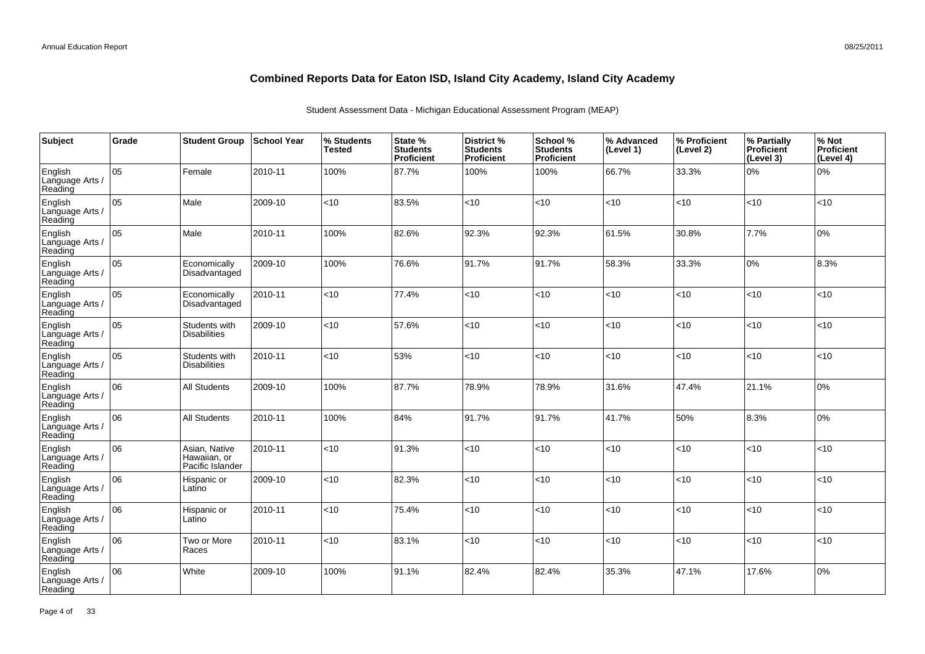| Subject                               | Grade | <b>Student Group</b>                              | <b>School Year</b> | % Students<br><b>Tested</b> | State %<br><b>Students</b><br>Proficient | District %<br><b>Students</b><br>Proficient | School %<br><b>Students</b><br><b>Proficient</b> | % Advanced<br>(Level 1) | │% Proficient<br>(Level 2) | % Partially<br>Proficient<br>(Level 3) | % Not<br>Proficient<br>(Level 4) |
|---------------------------------------|-------|---------------------------------------------------|--------------------|-----------------------------|------------------------------------------|---------------------------------------------|--------------------------------------------------|-------------------------|----------------------------|----------------------------------------|----------------------------------|
| English<br>Language Arts /<br>Reading | 05    | Female                                            | 2010-11            | 100%                        | 87.7%                                    | 100%                                        | 100%                                             | 66.7%                   | 33.3%                      | 0%                                     | 0%                               |
| English<br>Language Arts /<br>Reading | lo5   | Male                                              | 2009-10            | <10                         | 83.5%                                    | <10                                         | <10                                              | < 10                    | <10                        | <10                                    | <10                              |
| English<br>Language Arts /<br>Reading | 05    | Male                                              | 2010-11            | 100%                        | 82.6%                                    | 92.3%                                       | 92.3%                                            | 61.5%                   | 30.8%                      | 7.7%                                   | 0%                               |
| English<br>Language Arts /<br>Reading | 05    | Economically<br>Disadvantaged                     | 2009-10            | 100%                        | 76.6%                                    | 91.7%                                       | 91.7%                                            | 58.3%                   | 33.3%                      | 0%                                     | 8.3%                             |
| English<br>Language Arts /<br>Reading | 05    | Economically<br>Disadvantaged                     | 2010-11            | <10                         | 77.4%                                    | < 10                                        | < 10                                             | <10                     | $<$ 10                     | < 10                                   | <10                              |
| English<br>Language Arts /<br>Reading | 05    | Students with<br><b>Disabilities</b>              | 2009-10            | <10                         | 57.6%                                    | < 10                                        | <10                                              | < 10                    | < 10                       | <10                                    | <10                              |
| English<br>Language Arts /<br>Reading | 05    | Students with<br><b>Disabilities</b>              | 2010-11            | <10                         | 53%                                      | < 10                                        | <10                                              | <10                     | < 10                       | < 10                                   | <10                              |
| English<br>Language Arts /<br>Reading | 06    | <b>All Students</b>                               | 2009-10            | 100%                        | 87.7%                                    | 78.9%                                       | 78.9%                                            | 31.6%                   | 47.4%                      | 21.1%                                  | 0%                               |
| English<br>Language Arts /<br>Reading | 06    | <b>All Students</b>                               | 2010-11            | 100%                        | 84%                                      | 91.7%                                       | 91.7%                                            | 41.7%                   | 50%                        | 8.3%                                   | 0%                               |
| English<br>Language Arts /<br>Reading | 06    | Asian, Native<br>Hawaiian, or<br>Pacific Islander | 2010-11            | <10                         | 91.3%                                    | < 10                                        | <10                                              | < 10                    | <10                        | <10                                    | <10                              |
| English<br>Language Arts /<br>Reading | 06    | Hispanic or<br>Latino                             | 2009-10            | <10                         | 82.3%                                    | < 10                                        | <10                                              | < 10                    | <10                        | <10                                    | <10                              |
| English<br>Language Arts /<br>Reading | 06    | Hispanic or<br>Latino                             | 2010-11            | <10                         | 75.4%                                    | < 10                                        | <10                                              | <10                     | <10                        | <10                                    | <10                              |
| English<br>Language Arts /<br>Reading | 06    | Two or More<br>Races                              | 2010-11            | <10                         | 83.1%                                    | < 10                                        | <10                                              | <10                     | < 10                       | <10                                    | <10                              |
| English<br>Language Arts /<br>Reading | 06    | White                                             | 2009-10            | 100%                        | 91.1%                                    | 82.4%                                       | 82.4%                                            | 35.3%                   | 47.1%                      | 17.6%                                  | 0%                               |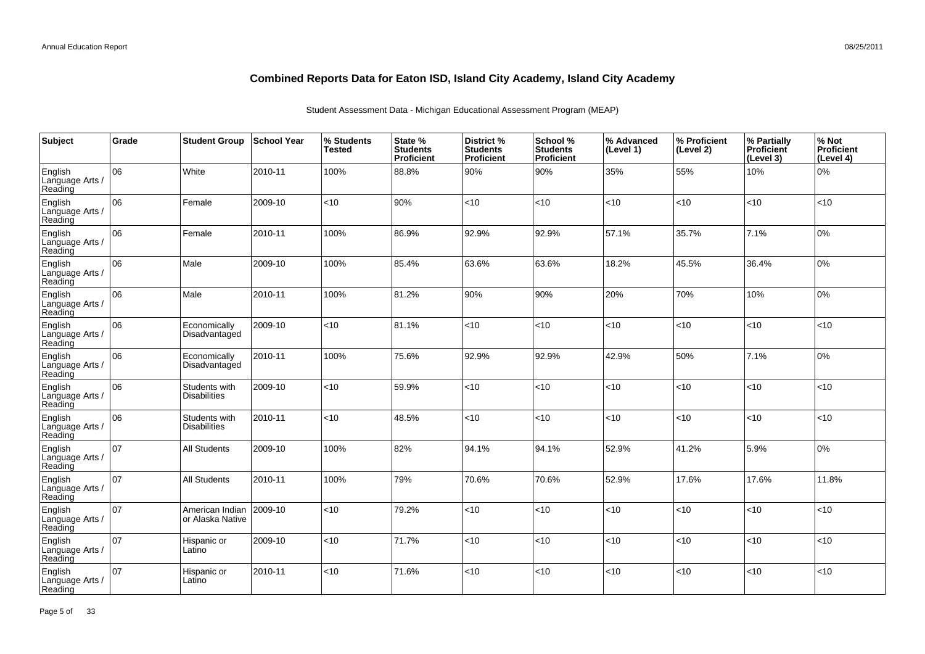| Subject                               | Grade | <b>Student Group</b>                 | <b>School Year</b> | % Students<br><b>Tested</b> | State %<br><b>Students</b><br>Proficient | <b>District %</b><br><b>Students</b><br>Proficient | School %<br><b>Students</b><br><b>Proficient</b> | % Advanced<br>(Level 1) | % Proficient<br>(Level 2) | % Partially<br><b>Proficient</b><br>(Level 3) | % Not<br>Proficient<br>(Level 4) |
|---------------------------------------|-------|--------------------------------------|--------------------|-----------------------------|------------------------------------------|----------------------------------------------------|--------------------------------------------------|-------------------------|---------------------------|-----------------------------------------------|----------------------------------|
| English<br>Language Arts /<br>Reading | 06    | White                                | 2010-11            | 100%                        | 88.8%                                    | 90%                                                | 90%                                              | 35%                     | 55%                       | 10%                                           | 0%                               |
| English<br>Language Arts /<br>Reading | lo6   | Female                               | 2009-10            | $<$ 10                      | 90%                                      | <10                                                | <10                                              | <10                     | <10                       | <10                                           | <10                              |
| English<br>Language Arts /<br>Reading | 06    | Female                               | 2010-11            | 100%                        | 86.9%                                    | 92.9%                                              | 92.9%                                            | 57.1%                   | 35.7%                     | 7.1%                                          | 0%                               |
| English<br>Language Arts /<br>Reading | 06    | Male                                 | 2009-10            | 100%                        | 85.4%                                    | 63.6%                                              | 63.6%                                            | 18.2%                   | 45.5%                     | 36.4%                                         | 0%                               |
| English<br>Language Arts /<br>Reading | 06    | Male                                 | 2010-11            | 100%                        | 81.2%                                    | 90%                                                | 90%                                              | 20%                     | 70%                       | 10%                                           | 0%                               |
| English<br>Language Arts /<br>Reading | 06    | Economically<br>Disadvantaged        | 2009-10            | $<$ 10                      | 81.1%                                    | <10                                                | <10                                              | <10                     | <10                       | <10                                           | <10                              |
| English<br>Language Arts /<br>Reading | 06    | Economically<br>Disadvantaged        | 2010-11            | 100%                        | 75.6%                                    | 92.9%                                              | 92.9%                                            | 42.9%                   | 50%                       | 7.1%                                          | 0%                               |
| English<br>Language Arts /<br>Reading | 06    | Students with<br><b>Disabilities</b> | 2009-10            | <10                         | 59.9%                                    | <10                                                | <10                                              | < 10                    | <10                       | <10                                           | <10                              |
| English<br>Language Arts /<br>Reading | 06    | Students with<br><b>Disabilities</b> | 2010-11            | <10                         | 48.5%                                    | <10                                                | < 10                                             | < 10                    | < 10                      | <10                                           | <10                              |
| English<br>Language Arts /<br>Reading | 107   | <b>All Students</b>                  | 2009-10            | 100%                        | 82%                                      | 94.1%                                              | 94.1%                                            | 52.9%                   | 41.2%                     | 5.9%                                          | 0%                               |
| English<br>Language Arts /<br>Reading | 107   | <b>All Students</b>                  | 2010-11            | 100%                        | 79%                                      | 70.6%                                              | 70.6%                                            | 52.9%                   | 17.6%                     | 17.6%                                         | 11.8%                            |
| English<br>Language Arts /<br>Reading | 107   | American Indian<br>or Alaska Native  | 2009-10            | $<$ 10                      | 79.2%                                    | <10                                                | <10                                              | <10                     | <10                       | <10                                           | <10                              |
| English<br>Language Arts /<br>Reading | 107   | Hispanic or<br>Latino                | 2009-10            | <10                         | 71.7%                                    | <10                                                | <10                                              | <10                     | <10                       | <10                                           | <10                              |
| English<br>Language Arts<br>Reading   | 107   | Hispanic or<br>Latino                | 2010-11            | $<$ 10                      | 71.6%                                    | <10                                                | $<$ 10                                           | < 10                    | <10                       | < 10                                          | < 10                             |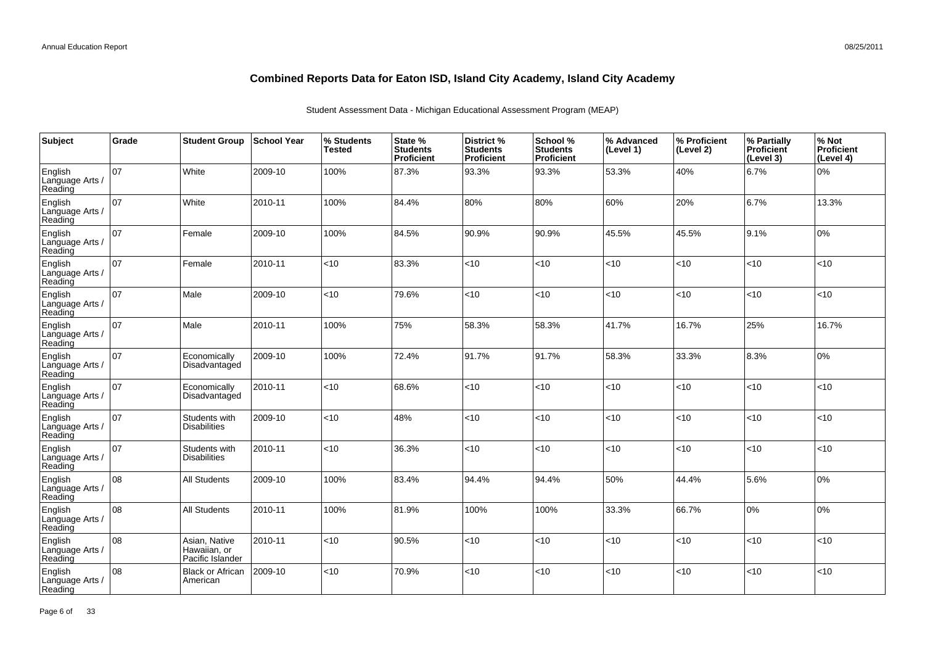| Subject                               | Grade | <b>Student Group</b>                              | <b>School Year</b> | % Students<br><b>Tested</b> | State %<br><b>Students</b><br>Proficient | District %<br><b>Students</b><br>Proficient | School %<br><b>Students</b><br><b>Proficient</b> | % Advanced<br>(Level 1) | % Proficient<br>(Level 2) | % Partially<br>Proficient<br>(Level 3) | % Not<br>Proficient<br>(Level 4) |
|---------------------------------------|-------|---------------------------------------------------|--------------------|-----------------------------|------------------------------------------|---------------------------------------------|--------------------------------------------------|-------------------------|---------------------------|----------------------------------------|----------------------------------|
| English<br>Language Arts /<br>Reading | 07    | White                                             | 2009-10            | 100%                        | 87.3%                                    | 93.3%                                       | 93.3%                                            | 53.3%                   | 40%                       | 6.7%                                   | 0%                               |
| English<br>Language Arts /<br>Reading | 07    | White                                             | 2010-11            | 100%                        | 84.4%                                    | 80%                                         | 80%                                              | 60%                     | 20%                       | 6.7%                                   | 13.3%                            |
| English<br>Language Arts /<br>Reading | 07    | Female                                            | 2009-10            | 100%                        | 84.5%                                    | 90.9%                                       | 90.9%                                            | 45.5%                   | 45.5%                     | 9.1%                                   | 0%                               |
| English<br>Language Arts /<br>Reading | 07    | Female                                            | 2010-11            | $<$ 10                      | 83.3%                                    | <10                                         | <10                                              | <10                     | <10                       | < 10                                   | <10                              |
| English<br>Language Arts /<br>Reading | 07    | Male                                              | 2009-10            | <10                         | 79.6%                                    | <10                                         | < 10                                             | <10                     | $<$ 10                    | < 10                                   | <10                              |
| English<br>Language Arts /<br>Reading | 07    | Male                                              | 2010-11            | 100%                        | 75%                                      | 58.3%                                       | 58.3%                                            | 41.7%                   | 16.7%                     | 25%                                    | 16.7%                            |
| English<br>Language Arts /<br>Reading | 07    | Economically<br>Disadvantaged                     | 2009-10            | 100%                        | 72.4%                                    | 91.7%                                       | 91.7%                                            | 58.3%                   | 33.3%                     | 8.3%                                   | 0%                               |
| English<br>Language Arts<br>Reading   | 07    | Economically<br>Disadvantaged                     | 2010-11            | <10                         | 68.6%                                    | <10                                         | <10                                              | <10                     | <10                       | < 10                                   | <10                              |
| English<br>Language Arts<br>Reading   | 107   | Students with<br><b>Disabilities</b>              | 2009-10            | $<$ 10                      | 48%                                      | <10                                         | < 10                                             | <10                     | < 10                      | < 10                                   | <10                              |
| English<br>Language Arts<br>Reading   | 07    | Students with<br><b>Disabilities</b>              | 2010-11            | <10                         | 36.3%                                    | <10                                         | <10                                              | <10                     | <10                       | $ $ < 10                               | <10                              |
| English<br>Language Arts<br>Reading   | 08    | <b>All Students</b>                               | 2009-10            | 100%                        | 83.4%                                    | 94.4%                                       | 94.4%                                            | 50%                     | 44.4%                     | 5.6%                                   | 0%                               |
| English<br>Language Arts<br>Reading   | 08    | <b>All Students</b>                               | 2010-11            | 100%                        | 81.9%                                    | 100%                                        | 100%                                             | 33.3%                   | 66.7%                     | 10%                                    | 0%                               |
| English<br>Language Arts /<br>Reading | 08    | Asian, Native<br>Hawaiian, or<br>Pacific Islander | 2010-11            | $<$ 10                      | 90.5%                                    | <10                                         | <10                                              | <10                     | <10                       | <10                                    | <10                              |
| English<br>Language Arts<br>Reading   | 08    | <b>Black or African</b><br>American               | 2009-10            | $<$ 10                      | 70.9%                                    | <10                                         | < 10                                             | <10                     | < 10                      | < 10                                   | <10                              |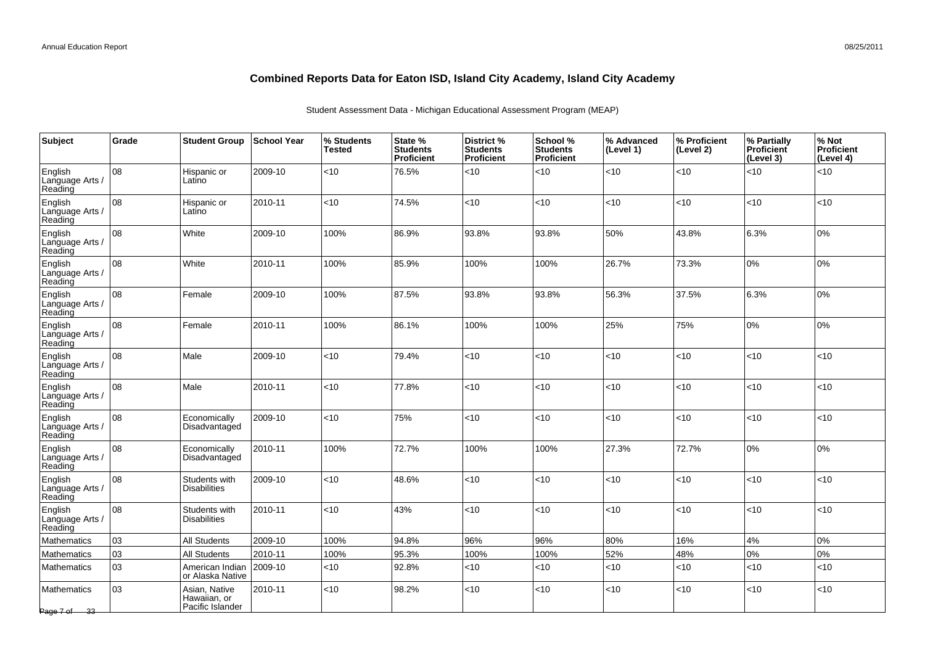| Subject                               | Grade | <b>Student Group</b>                              | <b>School Year</b> | % Students<br><b>Tested</b> | State %<br><b>Students</b><br><b>Proficient</b> | District %<br><b>Students</b><br>Proficient | School %<br><b>Students</b><br>Proficient | % Advanced<br>(Level 1) | % Proficient<br>(Level 2) | % Partially<br><b>Proficient</b><br>(Level 3) | % Not<br>Proficient<br>(Level 4) |
|---------------------------------------|-------|---------------------------------------------------|--------------------|-----------------------------|-------------------------------------------------|---------------------------------------------|-------------------------------------------|-------------------------|---------------------------|-----------------------------------------------|----------------------------------|
| English<br>Language Arts /<br>Reading | 08    | Hispanic or<br>Latino                             | 2009-10            | < 10                        | 76.5%                                           | < 10                                        | <10                                       | $<10$                   | <10                       | <10                                           | <10                              |
| English<br>Language Arts /<br>Reading | 08    | Hispanic or<br>Latino                             | 2010-11            | $<10$                       | 74.5%                                           | <10                                         | <10                                       | < 10                    | <10                       | <10                                           | <10                              |
| English<br>Language Arts /<br>Reading | 08    | White                                             | 2009-10            | 100%                        | 86.9%                                           | 93.8%                                       | 93.8%                                     | 50%                     | 43.8%                     | 6.3%                                          | 0%                               |
| English<br>Language Arts /<br>Reading | 08    | White                                             | 2010-11            | 100%                        | 85.9%                                           | 100%                                        | 100%                                      | 26.7%                   | 73.3%                     | 0%                                            | 0%                               |
| English<br>Language Arts /<br>Reading | 08    | Female                                            | 2009-10            | 100%                        | 87.5%                                           | 93.8%                                       | 93.8%                                     | 56.3%                   | 37.5%                     | 6.3%                                          | 0%                               |
| English<br>Language Arts /<br>Reading | 08    | Female                                            | 2010-11            | 100%                        | 86.1%                                           | 100%                                        | 100%                                      | 25%                     | 75%                       | 0%                                            | 0%                               |
| English<br>Language Arts /<br>Reading | 08    | Male                                              | 2009-10            | <10                         | 79.4%                                           | <10                                         | <10                                       | ~10                     | <10                       | <10                                           | <10                              |
| English<br>Language Arts /<br>Reading | 08    | Male                                              | 2010-11            | $<10$                       | 77.8%                                           | <10                                         | <10                                       | ~10                     | <10                       | <10                                           | <10                              |
| English<br>Language Arts /<br>Reading | 08    | Economically<br>Disadvantaged                     | 2009-10            | < 10                        | 75%                                             | < 10                                        | <10                                       | < 10                    | $<$ 10                    | 10                                            | <10                              |
| English<br>Language Arts /<br>Reading | 08    | Economically<br>Disadvantaged                     | 2010-11            | 100%                        | 72.7%                                           | 100%                                        | 100%                                      | 27.3%                   | 72.7%                     | 0%                                            | 0%                               |
| English<br>Language Arts /<br>Reading | 08    | Students with<br><b>Disabilities</b>              | 2009-10            | < 10                        | 48.6%                                           | <10                                         | < 10                                      | < 10                    | < 10                      | <10                                           | <10                              |
| English<br>Language Arts /<br>Reading | 08    | Students with<br><b>Disabilities</b>              | 2010-11            | < 10                        | 43%                                             | <10                                         | <10                                       | < 10                    | < 10                      | < 10                                          | <10                              |
| <b>Mathematics</b>                    | 03    | <b>All Students</b>                               | 2009-10            | 100%                        | 94.8%                                           | 96%                                         | 96%                                       | 80%                     | 16%                       | 4%                                            | 0%                               |
| <b>Mathematics</b>                    | 03    | <b>All Students</b>                               | 2010-11            | 100%                        | 95.3%                                           | 100%                                        | 100%                                      | 52%                     | 48%                       | 0%                                            | 0%                               |
| <b>Mathematics</b>                    | 03    | American Indian<br>or Alaska Native               | 2009-10            | $<$ 10                      | 92.8%                                           | < 10                                        | <10                                       | < 10                    | <10                       | <10                                           | $<$ 10                           |
| Mathematics<br>Page 7 of 33           | 03    | Asian, Native<br>Hawaiian, or<br>Pacific Islander | 2010-11            | $<10$                       | 98.2%                                           | <10                                         | < 10                                      | $<10$                   | < 10                      | <10                                           | <10                              |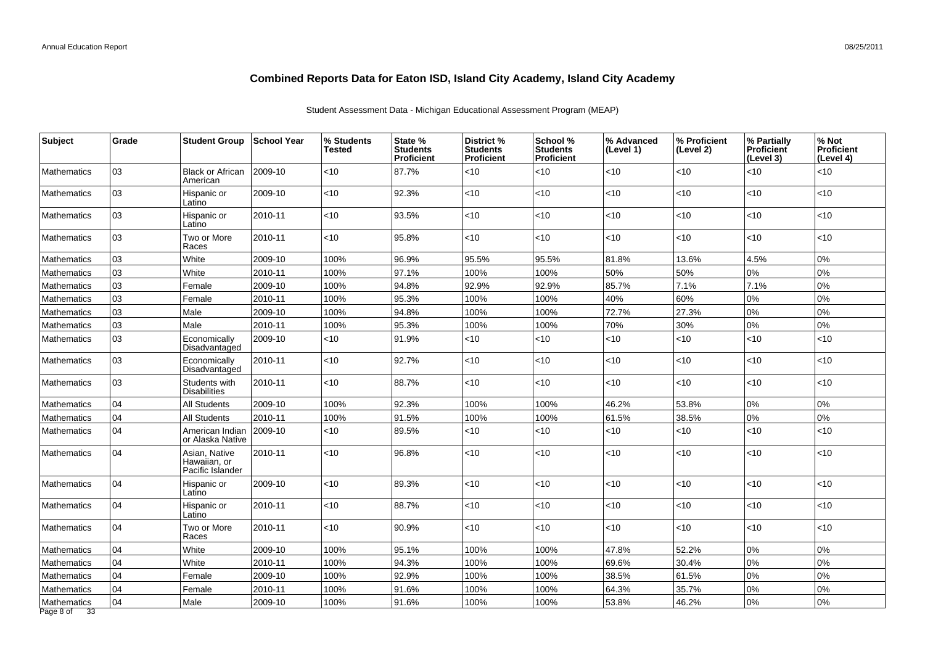| Subject                         | Grade | <b>Student Group</b>                              | ∣School Year | % Students<br><b>Tested</b> | State %<br><b>Students</b><br><b>Proficient</b> | <b>District %</b><br><b>Students</b><br><b>Proficient</b> | School %<br><b>Students</b><br><b>Proficient</b> | % Advanced<br>(Level 1) | % Proficient<br>(Level 2) | % Partially<br><b>Proficient</b><br>(Level 3) | % Not<br><b>Proficient</b><br>(Level 4) |
|---------------------------------|-------|---------------------------------------------------|--------------|-----------------------------|-------------------------------------------------|-----------------------------------------------------------|--------------------------------------------------|-------------------------|---------------------------|-----------------------------------------------|-----------------------------------------|
| <b>Mathematics</b>              | 03    | <b>Black or African</b><br>American               | 2009-10      | <10                         | 87.7%                                           | <10                                                       | $<$ 10                                           | <10                     | <10                       | <10                                           | <10                                     |
| <b>Mathematics</b>              | 03    | Hispanic or<br>Latino                             | 2009-10      | $<10$                       | 92.3%                                           | <10                                                       | $<$ 10                                           | <10                     | <10                       | $<10$                                         | <10                                     |
| <b>Mathematics</b>              | 03    | Hispanic or<br>Latino                             | 2010-11      | $<$ 10                      | 93.5%                                           | <10                                                       | < 10                                             | < 10                    | <10                       | $<$ 10                                        | $<$ 10                                  |
| <b>Mathematics</b>              | 03    | Two or More<br>Races                              | 2010-11      | < 10                        | 95.8%                                           | <10                                                       | $<$ 10                                           | < 10                    | <10                       | < 10                                          | <10                                     |
| <b>Mathematics</b>              | 03    | White                                             | 2009-10      | 100%                        | 96.9%                                           | 95.5%                                                     | 95.5%                                            | 81.8%                   | 13.6%                     | 4.5%                                          | 0%                                      |
| <b>Mathematics</b>              | 03    | White                                             | 2010-11      | 100%                        | 97.1%                                           | 100%                                                      | 100%                                             | 50%                     | 50%                       | 0%                                            | 0%                                      |
| <b>Mathematics</b>              | 03    | Female                                            | 2009-10      | 100%                        | 94.8%                                           | 92.9%                                                     | 92.9%                                            | 85.7%                   | 7.1%                      | 7.1%                                          | 0%                                      |
| Mathematics                     | 03    | Female                                            | 2010-11      | 100%                        | 95.3%                                           | 100%                                                      | 100%                                             | 40%                     | 60%                       | 0%                                            | 0%                                      |
| <b>Mathematics</b>              | 03    | Male                                              | 2009-10      | 100%                        | 94.8%                                           | 100%                                                      | 100%                                             | 72.7%                   | 27.3%                     | 0%                                            | 0%                                      |
| Mathematics                     | 03    | Male                                              | 2010-11      | 100%                        | 95.3%                                           | 100%                                                      | 100%                                             | 70%                     | 30%                       | 0%                                            | 0%                                      |
| Mathematics                     | 03    | Economically<br>Disadvantaged                     | 2009-10      | <10                         | 91.9%                                           | <10                                                       | $<$ 10                                           | <10                     | <10                       | <10                                           | <10                                     |
| <b>Mathematics</b>              | 03    | Economically<br>Disadvantaged                     | 2010-11      | < 10                        | 92.7%                                           | <10                                                       | $<$ 10                                           | < 10                    | <10                       | < 10                                          | <10                                     |
| Mathematics                     | 03    | Students with<br><b>Disabilities</b>              | 2010-11      | $<$ 10                      | 88.7%                                           | <10                                                       | $<$ 10                                           | < 10                    | <10                       | $ $ < 10                                      | <10                                     |
| <b>Mathematics</b>              | 04    | All Students                                      | 2009-10      | 100%                        | 92.3%                                           | 100%                                                      | 100%                                             | 46.2%                   | 53.8%                     | 0%                                            | 0%                                      |
| <b>Mathematics</b>              | 04    | <b>All Students</b>                               | 2010-11      | 100%                        | 91.5%                                           | 100%                                                      | 100%                                             | 61.5%                   | 38.5%                     | 0%                                            | 0%                                      |
| <b>Mathematics</b>              | 04    | American Indian<br>or Alaska Native               | 2009-10      | $<$ 10                      | 89.5%                                           | <10                                                       | $<$ 10                                           | < 10                    | <10                       | <10                                           | <10                                     |
| <b>Mathematics</b>              | 04    | Asian, Native<br>Hawaiian, or<br>Pacific Islander | 2010-11      | $ $ < 10                    | 96.8%                                           | <10                                                       | < 10                                             | < 10                    | $<$ 10                    | $ $ < 10                                      | <10                                     |
| <b>Mathematics</b>              | 04    | Hispanic or<br>Latino                             | 2009-10      | $<10$                       | 89.3%                                           | <10                                                       | < 10                                             | <10                     | <10                       | <10                                           | <10                                     |
| <b>Mathematics</b>              | 04    | Hispanic or<br>Latino                             | 2010-11      | $<10$                       | 88.7%                                           | <10                                                       | <10                                              | <10                     | <10                       | $ $ < 10                                      | <10                                     |
| <b>Mathematics</b>              | 04    | Two or More<br>Races                              | 2010-11      | $<$ 10                      | 90.9%                                           | <10                                                       | $<$ 10                                           | <10                     | $<$ 10                    | $<$ 10                                        | <10                                     |
| <b>Mathematics</b>              | 04    | White                                             | 2009-10      | 100%                        | 95.1%                                           | 100%                                                      | 100%                                             | 47.8%                   | 52.2%                     | 0%                                            | 0%                                      |
| <b>Mathematics</b>              | 04    | White                                             | 2010-11      | 100%                        | 94.3%                                           | 100%                                                      | 100%                                             | 69.6%                   | 30.4%                     | 0%                                            | 0%                                      |
| Mathematics                     | 04    | Female                                            | 2009-10      | 100%                        | 92.9%                                           | 100%                                                      | 100%                                             | 38.5%                   | 61.5%                     | 0%                                            | 0%                                      |
| Mathematics                     | 04    | Female                                            | 2010-11      | 100%                        | 91.6%                                           | 100%                                                      | 100%                                             | 64.3%                   | 35.7%                     | 0%                                            | 0%                                      |
| Mathematics<br>Page 8 of<br>-33 | 04    | Male                                              | 2009-10      | 100%                        | 91.6%                                           | 100%                                                      | 100%                                             | 53.8%                   | 46.2%                     | 0%                                            | 0%                                      |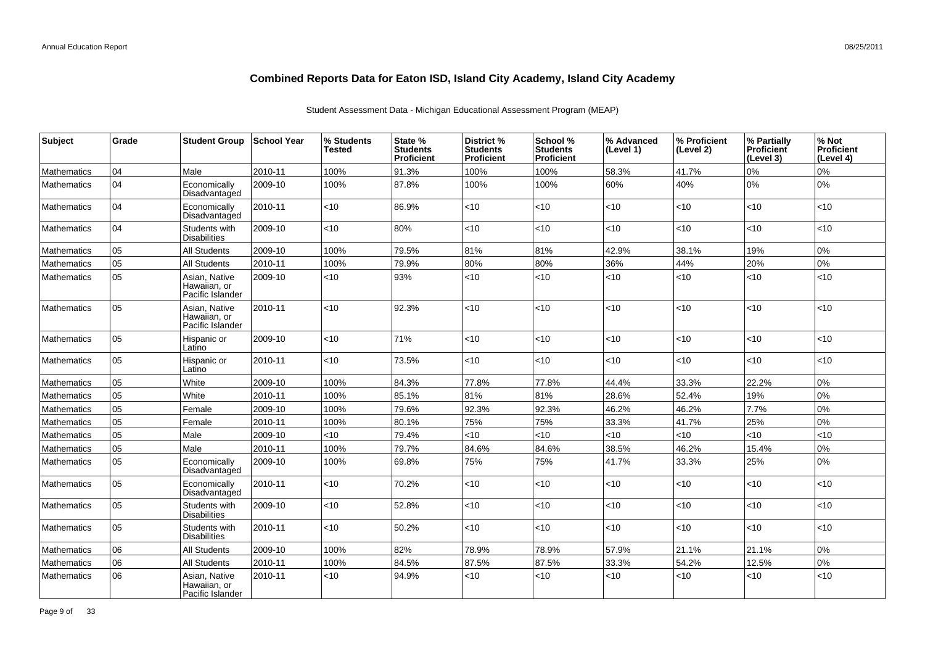| Subject            | Grade | <b>Student Group</b>                              | <b>School Year</b> | % Students<br>Tested | State %<br><b>Students</b><br>Proficient | District %<br><b>Students</b><br><b>Proficient</b> | School %<br><b>Students</b><br><b>Proficient</b> | % Advanced<br>(Level 1) | % Proficient<br>(Level 2) | % Partially<br><b>Proficient</b><br>(Level 3) | % Not<br>Proficient<br>(Level 4) |
|--------------------|-------|---------------------------------------------------|--------------------|----------------------|------------------------------------------|----------------------------------------------------|--------------------------------------------------|-------------------------|---------------------------|-----------------------------------------------|----------------------------------|
| Mathematics        | 04    | Male                                              | 2010-11            | 100%                 | 91.3%                                    | 100%                                               | 100%                                             | 58.3%                   | 41.7%                     | 0%                                            | 0%                               |
| <b>Mathematics</b> | 04    | Economically<br>Disadvantaged                     | 2009-10            | 100%                 | 87.8%                                    | 100%                                               | 100%                                             | 60%                     | 40%                       | 0%                                            | 0%                               |
| <b>Mathematics</b> | 04    | Economically<br>Disadvantaged                     | 2010-11            | $<$ 10               | 86.9%                                    | <10                                                | <10                                              | $<$ 10                  | <10                       | < 10                                          | <10                              |
| <b>Mathematics</b> | 04    | Students with<br><b>Disabilities</b>              | 2009-10            | <10                  | 80%                                      | <10                                                | < 10                                             | <10                     | < 10                      | <10                                           | <10                              |
| Mathematics        | 05    | <b>All Students</b>                               | 2009-10            | 100%                 | 79.5%                                    | 81%                                                | 81%                                              | 42.9%                   | 38.1%                     | 19%                                           | 0%                               |
| <b>Mathematics</b> | 05    | <b>All Students</b>                               | 2010-11            | 100%                 | 79.9%                                    | 80%                                                | 80%                                              | 36%                     | 44%                       | 20%                                           | 0%                               |
| Mathematics        | 05    | Asian, Native<br>Hawaiian, or<br>Pacific Islander | 2009-10            | <10                  | 93%                                      | $<$ 10                                             | <10                                              | $<$ 10                  | $<$ 10                    | <10                                           | <10                              |
| Mathematics        | 05    | Asian, Native<br>Hawaiian, or<br>Pacific Islander | 2010-11            | $<$ 10               | 92.3%                                    | <10                                                | <10                                              | < 10                    | < 10                      | < 10                                          | <10                              |
| <b>Mathematics</b> | 05    | Hispanic or<br>Latino                             | 2009-10            | < 10                 | 71%                                      | <10                                                | <10                                              | < 10                    | <10                       | <10                                           | <10                              |
| <b>Mathematics</b> | 05    | Hispanic or<br>Latino                             | 2010-11            | $<$ 10               | 73.5%                                    | $<$ 10                                             | < 10                                             | < 10                    | $<$ 10                    | < 10                                          | <10                              |
| <b>Mathematics</b> | 05    | White                                             | 2009-10            | 100%                 | 84.3%                                    | 77.8%                                              | 77.8%                                            | 44.4%                   | 33.3%                     | 22.2%                                         | 0%                               |
| Mathematics        | 05    | White                                             | 2010-11            | 100%                 | 85.1%                                    | 81%                                                | 81%                                              | 28.6%                   | 52.4%                     | 19%                                           | 0%                               |
| Mathematics        | 05    | Female                                            | 2009-10            | 100%                 | 79.6%                                    | 92.3%                                              | 92.3%                                            | 46.2%                   | 46.2%                     | 7.7%                                          | 0%                               |
| <b>Mathematics</b> | 05    | Female                                            | 2010-11            | 100%                 | 80.1%                                    | 75%                                                | 75%                                              | 33.3%                   | 41.7%                     | 25%                                           | 0%                               |
| Mathematics        | 05    | Male                                              | 2009-10            | $<$ 10               | 79.4%                                    | <10                                                | <10                                              | $<10$                   | $<$ 10                    | $<10$                                         | <10                              |
| <b>Mathematics</b> | 05    | Male                                              | 2010-11            | 100%                 | 79.7%                                    | 84.6%                                              | 84.6%                                            | 38.5%                   | 46.2%                     | 15.4%                                         | 0%                               |
| <b>Mathematics</b> | 05    | Economically<br>Disadvantaged                     | 2009-10            | 100%                 | 69.8%                                    | 75%                                                | 75%                                              | 41.7%                   | 33.3%                     | 25%                                           | 0%                               |
| <b>Mathematics</b> | 05    | Economically<br>Disadvantaged                     | 2010-11            | $<$ 10               | 70.2%                                    | <10                                                | <10                                              | $<$ 10                  | $<$ 10                    | <10                                           | <10                              |
| <b>Mathematics</b> | 05    | Students with<br><b>Disabilities</b>              | 2009-10            | <10                  | 52.8%                                    | <10                                                | <10                                              | $<10$                   | <10                       | <10                                           | <10                              |
| <b>Mathematics</b> | 05    | Students with<br><b>Disabilities</b>              | 2010-11            | $<$ 10               | 50.2%                                    | <10                                                | <10                                              | $<$ 10                  | $<$ 10                    | $<$ 10                                        | <10                              |
| Mathematics        | 06    | <b>All Students</b>                               | 2009-10            | 100%                 | 82%                                      | 78.9%                                              | 78.9%                                            | 57.9%                   | 21.1%                     | 21.1%                                         | 0%                               |
| <b>Mathematics</b> | 06    | All Students                                      | 2010-11            | 100%                 | 84.5%                                    | 87.5%                                              | 87.5%                                            | 33.3%                   | 54.2%                     | 12.5%                                         | 0%                               |
| <b>Mathematics</b> | 06    | Asian, Native<br>Hawaiian, or<br>Pacific Islander | 2010-11            | $<$ 10               | 94.9%                                    | <10                                                | <10                                              | <10                     | <10                       | <10                                           | <10                              |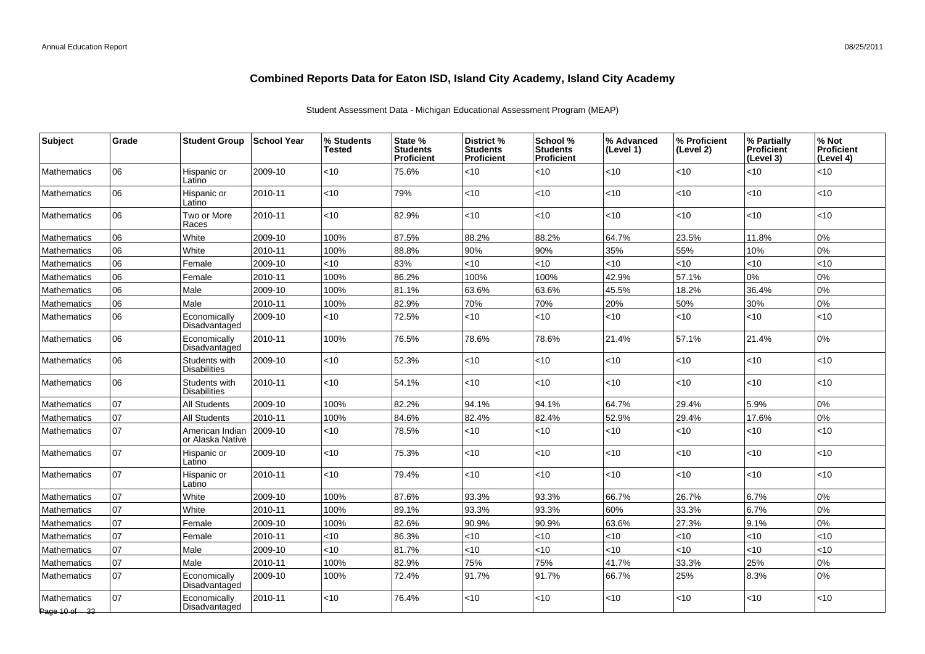| <b>Subject</b>               | Grade | <b>Student Group</b>                 | School Year | % Students<br><b>Tested</b> | State %<br><b>Students</b><br><b>Proficient</b> | District %<br><b>Students</b><br>Proficient | School %<br><b>Students</b><br>Proficient | % Advanced<br>(Level 1) | % Proficient<br>(Level 2) | % Partially<br><b>Proficient</b><br>(Level 3) | % Not<br><b>Proficient</b><br>(Level 4) |
|------------------------------|-------|--------------------------------------|-------------|-----------------------------|-------------------------------------------------|---------------------------------------------|-------------------------------------------|-------------------------|---------------------------|-----------------------------------------------|-----------------------------------------|
| <b>Mathematics</b>           | 06    | Hispanic or<br>Latino                | 2009-10     | <10                         | 75.6%                                           | <10                                         | $<$ 10                                    | < 10                    | <10                       | <10                                           | <10                                     |
| <b>Mathematics</b>           | 06    | Hispanic or<br>Latino                | 2010-11     | <10                         | 79%                                             | <10                                         | <10                                       | <10                     | <10                       | <10                                           | <10                                     |
| <b>Mathematics</b>           | 06    | Two or More<br>Races                 | 2010-11     | < 10                        | 82.9%                                           | <10                                         | $<$ 10                                    | < 10                    | <10                       | < 10                                          | <10                                     |
| Mathematics                  | 06    | White                                | 2009-10     | 100%                        | 87.5%                                           | 88.2%                                       | 88.2%                                     | 64.7%                   | 23.5%                     | 11.8%                                         | 0%                                      |
| <b>Mathematics</b>           | 06    | White                                | 2010-11     | 100%                        | 88.8%                                           | 90%                                         | 90%                                       | 35%                     | 55%                       | 10%                                           | 0%                                      |
| Mathematics                  | 06    | Female                               | 2009-10     | < 10                        | 83%                                             | <10                                         | $<$ 10                                    | < 10                    | <10                       | < 10                                          | <10                                     |
| Mathematics                  | 06    | Female                               | 2010-11     | 100%                        | 86.2%                                           | 100%                                        | 100%                                      | 42.9%                   | 57.1%                     | 0%                                            | 0%                                      |
| <b>Mathematics</b>           | 06    | Male                                 | 2009-10     | 100%                        | 81.1%                                           | 63.6%                                       | 63.6%                                     | 45.5%                   | 18.2%                     | 36.4%                                         | 0%                                      |
| Mathematics                  | 06    | Male                                 | 2010-11     | 100%                        | 82.9%                                           | 70%                                         | 70%                                       | 20%                     | 50%                       | 30%                                           | 0%                                      |
| <b>Mathematics</b>           | 06    | Economically<br>Disadvantaged        | 2009-10     | < 10                        | 72.5%                                           | <10                                         | $<$ 10                                    | < 10                    | <10                       | <10                                           | <10                                     |
| <b>Mathematics</b>           | 06    | Economically<br>Disadvantaged        | 2010-11     | 100%                        | 76.5%                                           | 78.6%                                       | 78.6%                                     | 21.4%                   | 57.1%                     | 21.4%                                         | 0%                                      |
| Mathematics                  | 06    | Students with<br><b>Disabilities</b> | 2009-10     | <10                         | 52.3%                                           | <10                                         | $<$ 10                                    | < 10                    | $<$ 10                    | <10                                           | <10                                     |
| <b>Mathematics</b>           | 06    | Students with<br><b>Disabilities</b> | 2010-11     | <10                         | 54.1%                                           | <10                                         | $<$ 10                                    | < 10                    | <10                       | $<10$                                         | <10                                     |
| Mathematics                  | 107   | <b>All Students</b>                  | 2009-10     | 100%                        | 82.2%                                           | 94.1%                                       | 94.1%                                     | 64.7%                   | 29.4%                     | 5.9%                                          | 0%                                      |
| <b>Mathematics</b>           | 07    | <b>All Students</b>                  | 2010-11     | 100%                        | 84.6%                                           | 82.4%                                       | 82.4%                                     | 52.9%                   | 29.4%                     | 17.6%                                         | 0%                                      |
| <b>Mathematics</b>           | 07    | American Indian<br>or Alaska Native  | 2009-10     | <10                         | 78.5%                                           | <10                                         | $<$ 10                                    | < 10                    | <10                       | <10                                           | <10                                     |
| <b>Mathematics</b>           | 107   | Hispanic or<br>Latino                | 2009-10     | <10                         | 75.3%                                           | <10                                         | $<$ 10                                    | < 10                    | <10                       | $<$ 10                                        | <10                                     |
| <b>Mathematics</b>           | 107   | Hispanic or<br>Latino                | 2010-11     | $<$ 10                      | 79.4%                                           | <10                                         | $<$ 10                                    | < 10                    | $<$ 10                    | < 10                                          | <10                                     |
| <b>Mathematics</b>           | 07    | White                                | 2009-10     | 100%                        | 87.6%                                           | 93.3%                                       | 93.3%                                     | 66.7%                   | 26.7%                     | 6.7%                                          | 0%                                      |
| <b>Mathematics</b>           | 07    | White                                | 2010-11     | 100%                        | 89.1%                                           | 93.3%                                       | 93.3%                                     | 60%                     | 33.3%                     | 6.7%                                          | 0%                                      |
| Mathematics                  | 07    | Female                               | 2009-10     | 100%                        | 82.6%                                           | 90.9%                                       | 90.9%                                     | 63.6%                   | 27.3%                     | 9.1%                                          | 0%                                      |
| <b>Mathematics</b>           | 07    | Female                               | 2010-11     | <10                         | 86.3%                                           | <10                                         | <10                                       | < 10                    | <10                       | < 10                                          | <10                                     |
| <b>Mathematics</b>           | 07    | Male                                 | 2009-10     | <10                         | 81.7%                                           | <10                                         | <10                                       | < 10                    | <10                       | < 10                                          | <10                                     |
| <b>Mathematics</b>           | 107   | Male                                 | 2010-11     | 100%                        | 82.9%                                           | 75%                                         | 75%                                       | 41.7%                   | 33.3%                     | 25%                                           | 0%                                      |
| <b>Mathematics</b>           | 07    | Economically<br>Disadvantaged        | 2009-10     | 100%                        | 72.4%                                           | 91.7%                                       | 91.7%                                     | 66.7%                   | 25%                       | 8.3%                                          | 0%                                      |
| Mathematics<br>Page 10 of 33 | 107   | Economically<br>Disadvantaged        | 2010-11     | $<$ 10                      | 76.4%                                           | <10                                         | $<$ 10                                    | $<$ 10                  | $<$ 10                    | <10                                           | <10                                     |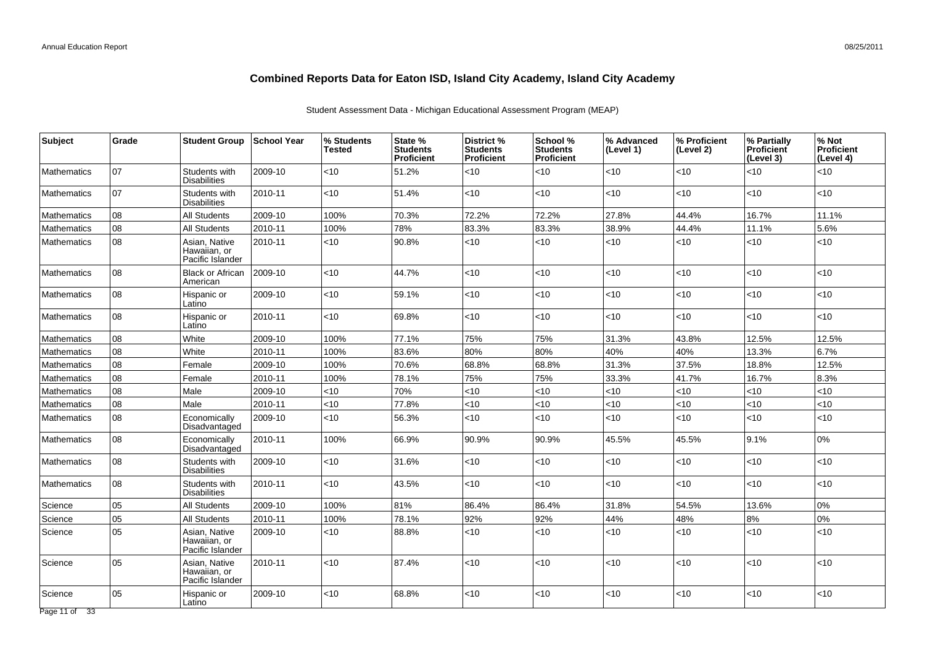| <b>Subject</b>     | Grade | <b>Student Group</b>                              | School Year | % Students<br><b>Tested</b> | State %<br><b>Students</b><br><b>Proficient</b> | District %<br><b>Students</b><br>Proficient | School %<br><b>Students</b><br><b>Proficient</b> | % Advanced<br>(Level 1) | % Proficient<br>(Level 2) | % Partially<br><b>Proficient</b><br>(Level 3) | % Not<br><b>Proficient</b><br>(Level 4) |
|--------------------|-------|---------------------------------------------------|-------------|-----------------------------|-------------------------------------------------|---------------------------------------------|--------------------------------------------------|-------------------------|---------------------------|-----------------------------------------------|-----------------------------------------|
| <b>Mathematics</b> | 07    | Students with<br>Disabilities                     | 2009-10     | <10                         | 51.2%                                           | $<$ 10                                      | < 10                                             | <10                     | $<$ 10                    | <10                                           | <10                                     |
| <b>Mathematics</b> | 07    | Students with<br><b>Disabilities</b>              | 2010-11     | <10                         | 51.4%                                           | <10                                         | <10                                              | <10                     | <10                       | <10                                           | <10                                     |
| Mathematics        | 08    | <b>All Students</b>                               | 2009-10     | 100%                        | 70.3%                                           | 72.2%                                       | 72.2%                                            | 27.8%                   | 44.4%                     | 16.7%                                         | 11.1%                                   |
| <b>Mathematics</b> | 08    | <b>All Students</b>                               | 2010-11     | 100%                        | 78%                                             | 83.3%                                       | 83.3%                                            | 38.9%                   | 44.4%                     | 11.1%                                         | 5.6%                                    |
| <b>Mathematics</b> | 108   | Asian, Native<br>Hawaiian, or<br>Pacific Islander | 2010-11     | <10                         | 90.8%                                           | <10                                         | < 10                                             | < 10                    | <10                       | < 10                                          | <10                                     |
| <b>Mathematics</b> | 08    | <b>Black or African</b><br>American               | 2009-10     | <10                         | 44.7%                                           | <10                                         | $<$ 10                                           | < 10                    | <10                       | <10                                           | <10                                     |
| <b>Mathematics</b> | 80    | Hispanic or<br>Latino                             | 2009-10     | <10                         | 59.1%                                           | <10                                         | < 10                                             | < 10                    | <10                       | <10                                           | <10                                     |
| <b>Mathematics</b> | 08    | Hispanic or<br>Latino                             | 2010-11     | $<$ 10                      | 69.8%                                           | <10                                         | < 10                                             | < 10                    | <10                       | $<$ 10                                        | <10                                     |
| <b>Mathematics</b> | 08    | White                                             | 2009-10     | 100%                        | 77.1%                                           | 75%                                         | 75%                                              | 31.3%                   | 43.8%                     | 12.5%                                         | 12.5%                                   |
| Mathematics        | 08    | White                                             | 2010-11     | 100%                        | 83.6%                                           | 80%                                         | 80%                                              | 40%                     | 40%                       | 13.3%                                         | 6.7%                                    |
| Mathematics        | 08    | Female                                            | 2009-10     | 100%                        | 70.6%                                           | 68.8%                                       | 68.8%                                            | 31.3%                   | 37.5%                     | 18.8%                                         | 12.5%                                   |
| Mathematics        | 08    | Female                                            | 2010-11     | 100%                        | 78.1%                                           | 75%                                         | 75%                                              | 33.3%                   | 41.7%                     | 16.7%                                         | 8.3%                                    |
| Mathematics        | 08    | Male                                              | 2009-10     | <10                         | 70%                                             | $<$ 10                                      | <10                                              | $<10$                   | <10                       | <10                                           | <10                                     |
| <b>Mathematics</b> | 08    | Male                                              | 2010-11     | <10                         | 77.8%                                           | <10                                         | < 10                                             | <10                     | <10                       | <10                                           | <10                                     |
| <b>Mathematics</b> | 08    | Economically<br>Disadvantaged                     | 2009-10     | <10                         | 56.3%                                           | $<$ 10                                      | < 10                                             | $<10$                   | $<$ 10                    | <10                                           | <10                                     |
| <b>Mathematics</b> | 08    | Economically<br>Disadvantaged                     | 2010-11     | 100%                        | 66.9%                                           | 90.9%                                       | 90.9%                                            | 45.5%                   | 45.5%                     | 9.1%                                          | 0%                                      |
| <b>Mathematics</b> | 08    | Students with<br><b>Disabilities</b>              | 2009-10     | <10                         | 31.6%                                           | <10                                         | $<$ 10                                           | $<10$                   | <10                       | <10                                           | <10                                     |
| <b>Mathematics</b> | 08    | Students with<br><b>Disabilities</b>              | 2010-11     | <10                         | 43.5%                                           | $<$ 10                                      | $<$ 10                                           | < 10                    | $<$ 10                    | $10^{-1}$                                     | <10                                     |
| Science            | 05    | All Students                                      | 2009-10     | 100%                        | 81%                                             | 86.4%                                       | 86.4%                                            | 31.8%                   | 54.5%                     | 13.6%                                         | 0%                                      |
| Science            | 05    | <b>All Students</b>                               | 2010-11     | 100%                        | 78.1%                                           | 92%                                         | 92%                                              | 44%                     | 48%                       | 8%                                            | 0%                                      |
| Science            | 05    | Asian, Native<br>Hawaiian, or<br>Pacific Islander | 2009-10     | <10                         | 88.8%                                           | <10                                         | < 10                                             | $<$ 10                  | <10                       | $ $ < 10                                      | <10                                     |
| Science            | 05    | Asian, Native<br>Hawaiian, or<br>Pacific Islander | 2010-11     | <10                         | 87.4%                                           | <10                                         | < 10                                             | < 10                    | <10                       | < 10                                          | <10                                     |
| Science            | 05    | Hispanic or<br>Latino                             | 2009-10     | <10                         | 68.8%                                           | <10                                         | < 10                                             | < 10                    | <10                       | < 10                                          | <10                                     |
| Page 11 of 33      |       |                                                   |             |                             |                                                 |                                             |                                                  |                         |                           |                                               |                                         |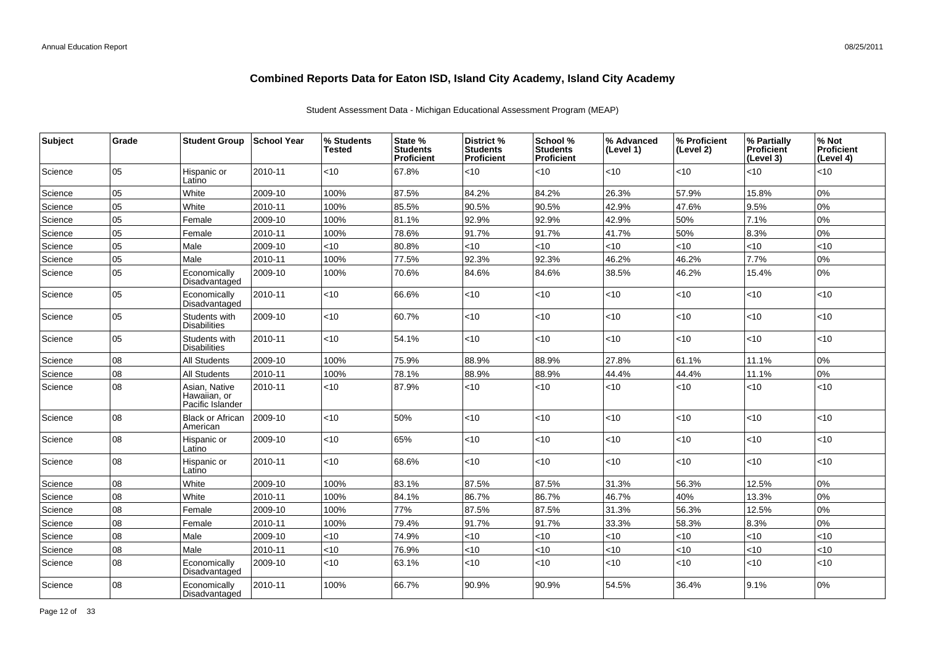| Subject | Grade | <b>Student Group</b>                              | <b>School Year</b> | % Students<br>Tested | State %<br><b>Students</b><br>Proficient | District %<br><b>Students</b><br><b>Proficient</b> | School %<br><b>Students</b><br><b>Proficient</b> | % Advanced<br>(Level 1) | % Proficient<br>(Level 2) | % Partially<br><b>Proficient</b><br>(Level 3) | % Not<br>Proficient<br>(Level 4) |
|---------|-------|---------------------------------------------------|--------------------|----------------------|------------------------------------------|----------------------------------------------------|--------------------------------------------------|-------------------------|---------------------------|-----------------------------------------------|----------------------------------|
| Science | 05    | Hispanic or<br>Latino                             | 2010-11            | <10                  | 67.8%                                    | < 10                                               | < 10                                             | < 10                    | <10                       | $<$ 10                                        | <10                              |
| Science | 05    | White                                             | 2009-10            | 100%                 | 87.5%                                    | 84.2%                                              | 84.2%                                            | 26.3%                   | 57.9%                     | 15.8%                                         | 0%                               |
| Science | 05    | White                                             | 2010-11            | 100%                 | 85.5%                                    | 90.5%                                              | 90.5%                                            | 42.9%                   | 47.6%                     | 9.5%                                          | 0%                               |
| Science | 05    | Female                                            | 2009-10            | 100%                 | 81.1%                                    | 92.9%                                              | 92.9%                                            | 42.9%                   | 50%                       | 7.1%                                          | 0%                               |
| Science | 05    | Female                                            | 2010-11            | 100%                 | 78.6%                                    | 91.7%                                              | 91.7%                                            | 41.7%                   | 50%                       | 8.3%                                          | 0%                               |
| Science | 05    | Male                                              | 2009-10            | <10                  | 80.8%                                    | <10                                                | <10                                              | <10                     | <10                       | <10                                           | <10                              |
| Science | 05    | Male                                              | 2010-11            | 100%                 | 77.5%                                    | 92.3%                                              | 92.3%                                            | 46.2%                   | 46.2%                     | 7.7%                                          | 0%                               |
| Science | 05    | Economically<br>Disadvantaged                     | 2009-10            | 100%                 | 70.6%                                    | 84.6%                                              | 84.6%                                            | 38.5%                   | 46.2%                     | 15.4%                                         | 0%                               |
| Science | 05    | Economically<br>Disadvantaged                     | 2010-11            | $<$ 10               | 66.6%                                    | < 10                                               | <10                                              | $<$ 10                  | <10                       | $<$ 10                                        | <10                              |
| Science | 05    | Students with<br><b>Disabilities</b>              | 2009-10            | $<$ 10               | 60.7%                                    | < 10                                               | < 10                                             | $<10$                   | <10                       | $<$ 10                                        | <10                              |
| Science | 05    | Students with<br><b>Disabilities</b>              | 2010-11            | $<$ 10               | 54.1%                                    | <10                                                | <10                                              | < 10                    | <10                       | <10                                           | <10                              |
| Science | 08    | All Students                                      | 2009-10            | 100%                 | 75.9%                                    | 88.9%                                              | 88.9%                                            | 27.8%                   | 61.1%                     | 11.1%                                         | 0%                               |
| Science | 08    | <b>All Students</b>                               | 2010-11            | 100%                 | 78.1%                                    | 88.9%                                              | 88.9%                                            | 44.4%                   | 44.4%                     | 11.1%                                         | 0%                               |
| Science | 08    | Asian, Native<br>Hawaiian, or<br>Pacific Islander | 2010-11            | $<$ 10               | 87.9%                                    | <10                                                | < 10                                             | < 10                    | < 10                      | <10                                           | <10                              |
| Science | 08    | <b>Black or African</b><br>American               | 2009-10            | $<$ 10               | 50%                                      | < 10                                               | < 10                                             | $<$ 10                  | <10                       | $<$ 10                                        | <10                              |
| Science | 08    | Hispanic or<br>Latino                             | 2009-10            | $<$ 10               | 65%                                      | <10                                                | < 10                                             | $<$ 10                  | <10                       | $<$ 10                                        | <10                              |
| Science | 08    | Hispanic or<br>Latino                             | 2010-11            | $<$ 10               | 68.6%                                    | <10                                                | < 10                                             | $<$ 10                  | <10                       | $<$ 10                                        | <10                              |
| Science | 08    | White                                             | 2009-10            | 100%                 | 83.1%                                    | 87.5%                                              | 87.5%                                            | 31.3%                   | 56.3%                     | 12.5%                                         | 0%                               |
| Science | 08    | White                                             | 2010-11            | 100%                 | 84.1%                                    | 86.7%                                              | 86.7%                                            | 46.7%                   | 40%                       | 13.3%                                         | 0%                               |
| Science | 08    | Female                                            | 2009-10            | 100%                 | 77%                                      | 87.5%                                              | 87.5%                                            | 31.3%                   | 56.3%                     | 12.5%                                         | 0%                               |
| Science | 08    | Female                                            | 2010-11            | 100%                 | 79.4%                                    | 91.7%                                              | 91.7%                                            | 33.3%                   | 58.3%                     | 8.3%                                          | 0%                               |
| Science | 08    | Male                                              | 2009-10            | $<$ 10               | 74.9%                                    | < 10                                               | < 10                                             | ~10                     | <10                       | < 10                                          | <10                              |
| Science | 08    | Male                                              | 2010-11            | <10                  | 76.9%                                    | <10                                                | <10                                              | $<10$                   | <10                       | <10                                           | <10                              |
| Science | 08    | Economically<br>Disadvantaged                     | 2009-10            | $<$ 10               | 63.1%                                    | $<$ 10                                             | < 10                                             | $<10$                   | < 10                      | $<$ 10                                        | <10                              |
| Science | 08    | Economically<br>Disadvantaged                     | 2010-11            | 100%                 | 66.7%                                    | 90.9%                                              | 90.9%                                            | 54.5%                   | 36.4%                     | 9.1%                                          | 0%                               |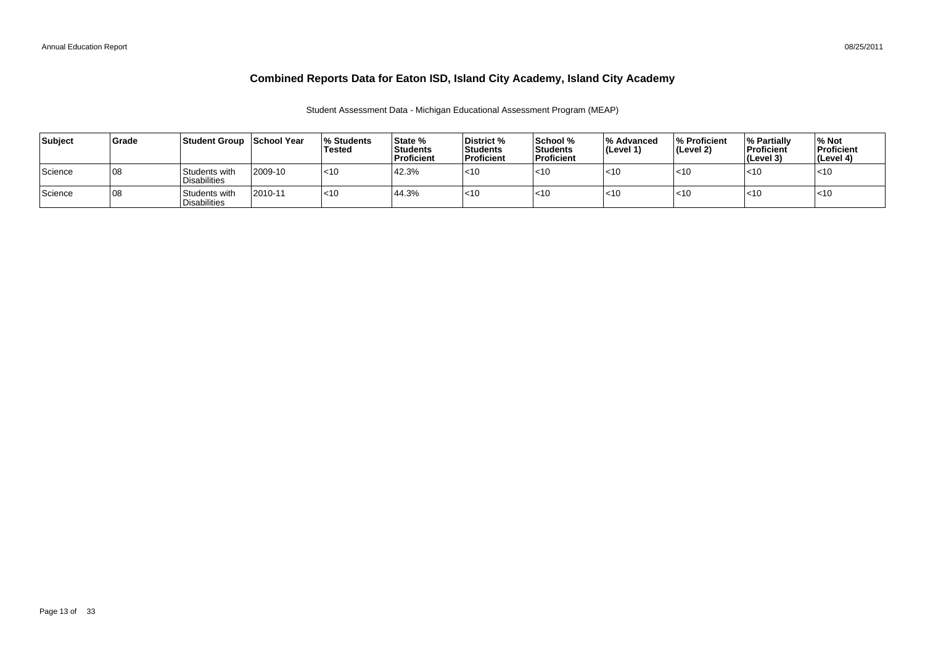| Subject | <b>Grade</b> | Student Group                        | ∣School Year | <b>Students</b><br>Tested | State %<br>Students<br>Proficient | District %<br>Students<br>l Proficient | School %<br>l Students<br><b>Proficient</b> | ∣% Advanced<br>$ $ (Level 1) | <b>% Proficient</b><br>(Level 2) | <b>1% Partially</b><br><b>Proficient</b><br>(Level 3) | <b>Mot</b><br><b>Proficient</b><br>l (Level 4) |
|---------|--------------|--------------------------------------|--------------|---------------------------|-----------------------------------|----------------------------------------|---------------------------------------------|------------------------------|----------------------------------|-------------------------------------------------------|------------------------------------------------|
| Science | ا 08         | Students with<br><b>Disabilities</b> | 2009-10      | $ $ < 10                  | 42.3%                             | $<$ 10                                 | $<$ 10                                      | $<$ 10                       | $<$ 10                           | < 10                                                  | $ $ < 10                                       |
| Science | ا 08         | Students with<br><b>Disabilities</b> | 2010-11      | $ $ < 10                  | 44.3%                             | $<$ 10                                 | $<$ 10                                      | $<$ 10                       | $<$ 10                           | $<$ 10                                                | $ $ < 10                                       |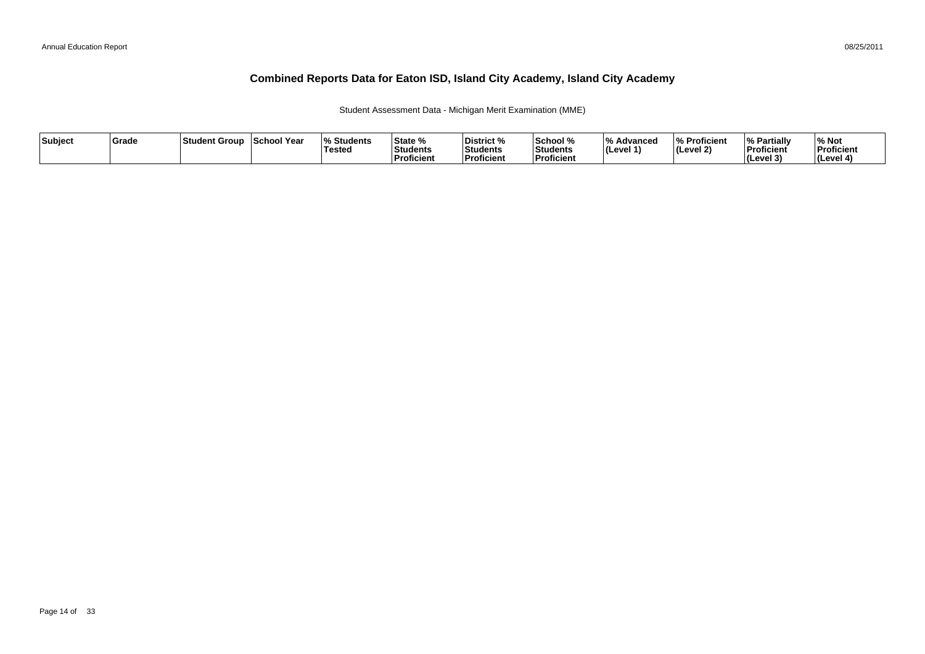Student Assessment Data - Michigan Merit Examination (MME)

| Subject | Grade | ⊺Student Group | School Year | <b>Students</b><br><b>Tested</b> | State %<br>Students<br>∣Proficient | District %<br><b>Students</b><br>Proficient | School %<br>Students<br><b>Proficien</b> | 1 O /<br>Advanced<br>$ $ (Level 1) | % Proficient<br>$ $ (Level 2) | <sup>1</sup> % Partially<br>Proficient<br>$ $ (Level 3) | % Not<br>Proficient<br>(Level 4) |
|---------|-------|----------------|-------------|----------------------------------|------------------------------------|---------------------------------------------|------------------------------------------|------------------------------------|-------------------------------|---------------------------------------------------------|----------------------------------|
|---------|-------|----------------|-------------|----------------------------------|------------------------------------|---------------------------------------------|------------------------------------------|------------------------------------|-------------------------------|---------------------------------------------------------|----------------------------------|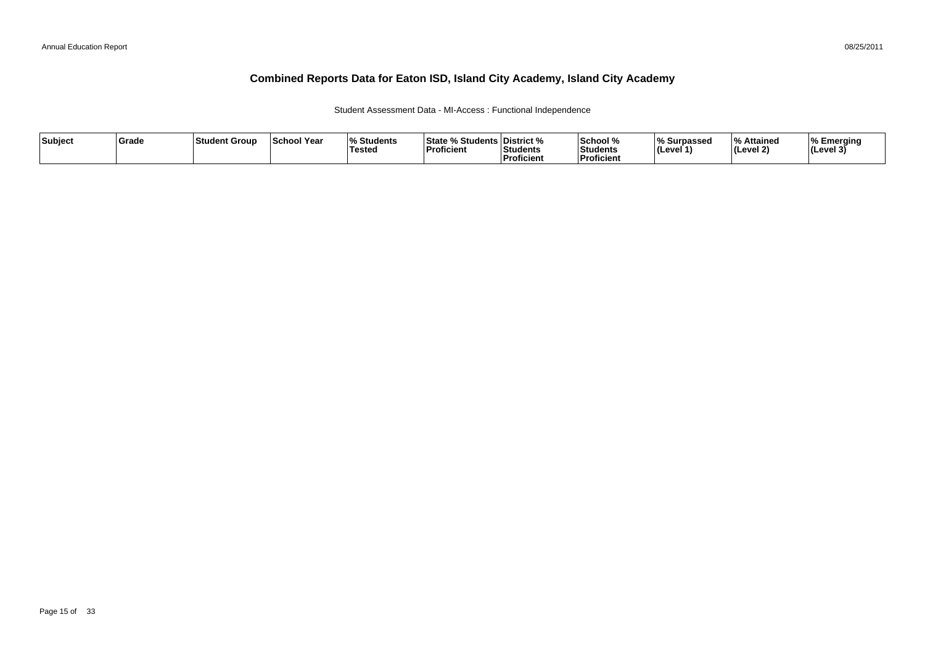### Student Assessment Data - MI-Access : Functional Independence

| Subject | ∣Grade | <b>Student Group</b> | ∣School Year | $\Omega$<br>Students<br>'Tested | <sup>৹⁄</sup> Students ∟<br>State<br><b>Proficient</b> | ∣District %<br>Students<br><sup>'</sup> Proficient | School %<br>Students<br><b>Proficien</b> | % Surpassed<br>∣(Level 1` | $\overline{\mathbf{0}}$<br>% Attained<br>(Level 2) | Emerging<br> (Level 3 |
|---------|--------|----------------------|--------------|---------------------------------|--------------------------------------------------------|----------------------------------------------------|------------------------------------------|---------------------------|----------------------------------------------------|-----------------------|
|---------|--------|----------------------|--------------|---------------------------------|--------------------------------------------------------|----------------------------------------------------|------------------------------------------|---------------------------|----------------------------------------------------|-----------------------|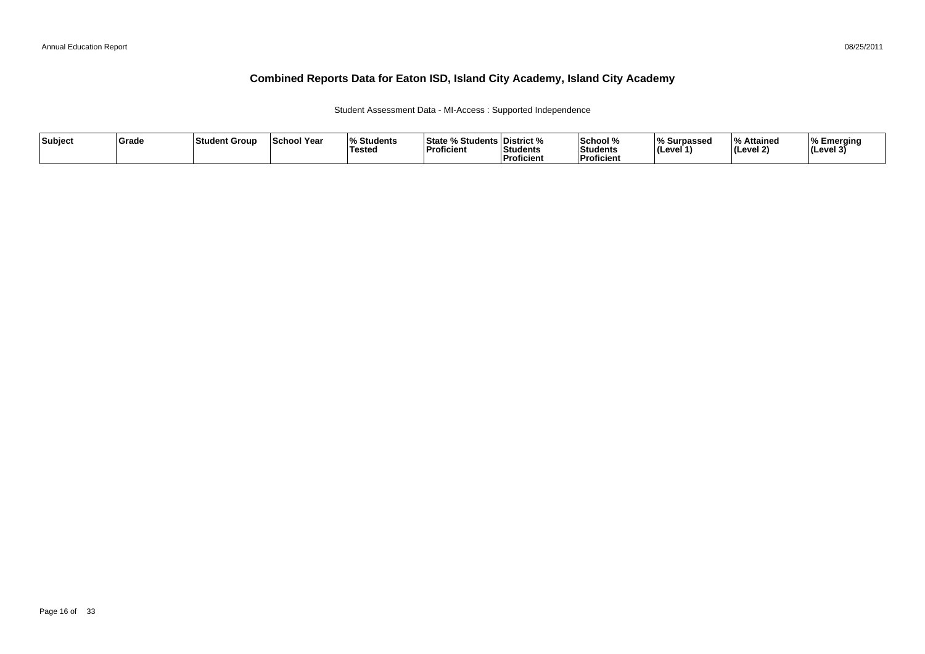Student Assessment Data - MI-Access : Supported Independence

| Subject | Grade | ∣Student Group | <b>School Year</b> | <sup>। %</sup> Students<br>Tested | % Students   District %<br>∣State %<br><b>Proficient</b> | Students<br>.<br>Proficient | School %<br>'Students<br><b>Proficient</b> | Surpassed<br>∃(Level 1 | % Attained<br><b>Level 2)</b> | % Emerging<br>l (Level 3) |
|---------|-------|----------------|--------------------|-----------------------------------|----------------------------------------------------------|-----------------------------|--------------------------------------------|------------------------|-------------------------------|---------------------------|
|---------|-------|----------------|--------------------|-----------------------------------|----------------------------------------------------------|-----------------------------|--------------------------------------------|------------------------|-------------------------------|---------------------------|

08/25/2011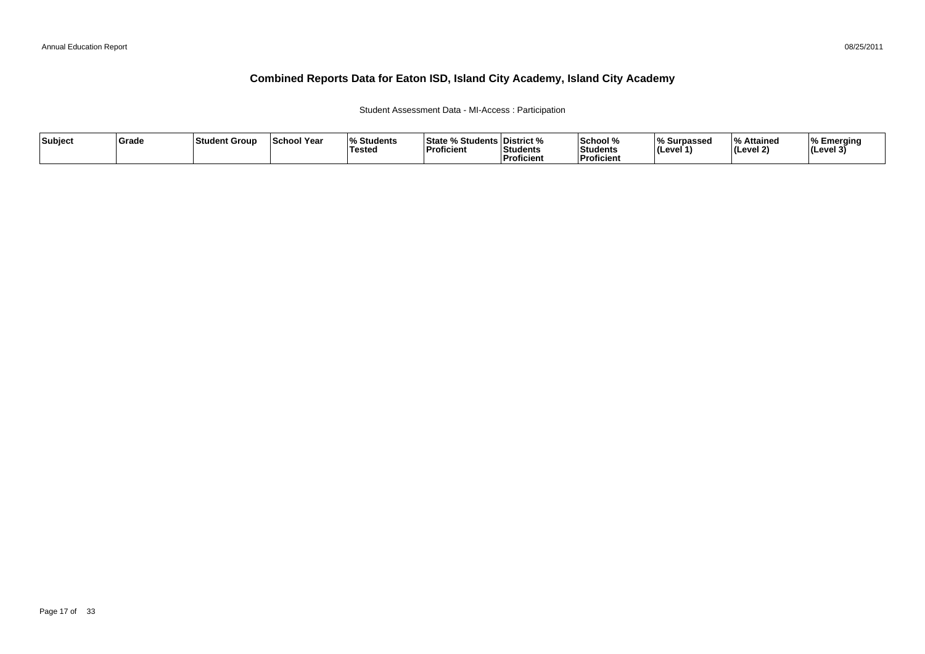### Student Assessment Data - MI-Access : Participation

| Subject | ∣Grade | ⊺Student Group | <b>School Year</b> | $\overline{\mathbf{0}}$<br>Students ،<br>Tested | State % Students District %<br>Proficient | Students<br>Proficient | School %<br>Students<br><b>Proficient</b> | % Surpassed<br><b>I</b> (Level · | % Attained<br>(Level 2) | <b>I% Emerging</b><br> (Level 3) |
|---------|--------|----------------|--------------------|-------------------------------------------------|-------------------------------------------|------------------------|-------------------------------------------|----------------------------------|-------------------------|----------------------------------|
|---------|--------|----------------|--------------------|-------------------------------------------------|-------------------------------------------|------------------------|-------------------------------------------|----------------------------------|-------------------------|----------------------------------|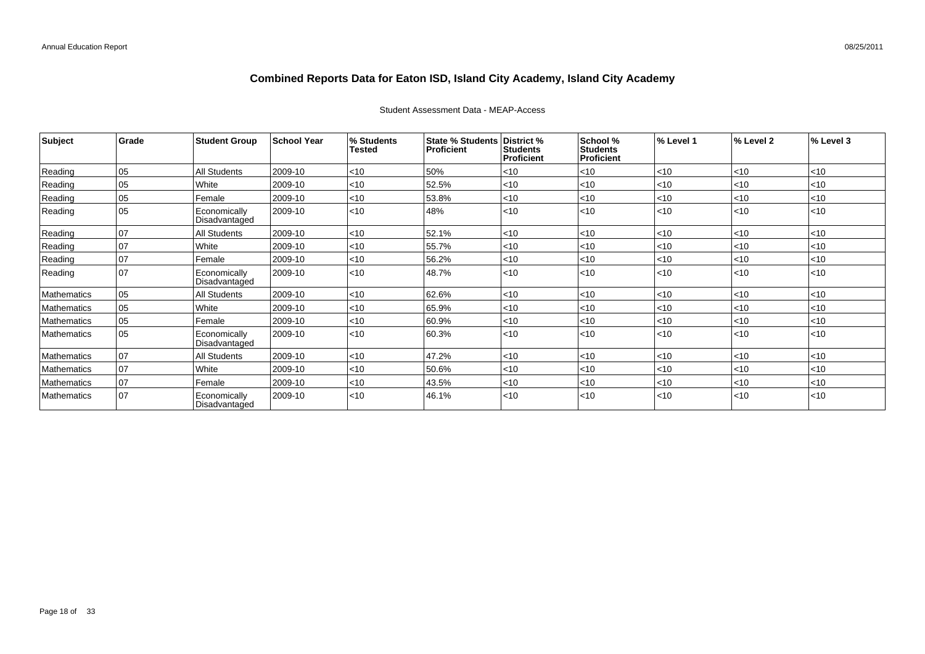| Subject     | Grade        | <b>Student Group</b>          | <b>School Year</b> | % Students<br><b>Tested</b> | <b>State % Students</b><br>Proficient | District %<br><b>Students</b><br><b>Proficient</b> | School %<br><b>Students</b><br><b>Proficient</b> | % Level 1 | % Level 2 | % Level 3 |
|-------------|--------------|-------------------------------|--------------------|-----------------------------|---------------------------------------|----------------------------------------------------|--------------------------------------------------|-----------|-----------|-----------|
| Reading     | 05           | All Students                  | 2009-10            | < 10                        | 50%                                   | < 10                                               | $<$ 10                                           | < 10      | < 10      | < 10      |
| Reading     | 05           | White                         | 2009-10            | < 10                        | 52.5%                                 | < 10                                               | < 10                                             | < 10      | <10       | < 10      |
| Reading     | 05           | Female                        | 2009-10            | $ $ < 10                    | 53.8%                                 | < 10                                               | $<$ 10                                           | < 10      | $ $ < 10  | < 10      |
| Reading     | 05           | Economically<br>Disadvantaged | 2009-10            | $ $ < 10                    | 48%                                   | < 10                                               | < 10                                             | < 10      | < 10      | < 10      |
| Reading     | 07           | All Students                  | 2009-10            | < 10                        | 52.1%                                 | < 10                                               | < 10                                             | < 10      | <10       | < 10      |
| Reading     | 07           | White                         | 2009-10            | < 10                        | 55.7%                                 | < 10                                               | $<$ 10                                           | < 10      | $ $ < 10  | $<$ 10    |
| Reading     | $ 07\rangle$ | Female                        | 2009-10            | < 10                        | 56.2%                                 | < 10                                               | < 10                                             | < 10      | <10       | < 10      |
| Reading     | 07           | Economically<br>Disadvantaged | 2009-10            | $ $ < 10                    | 48.7%                                 | < 10                                               | < 10                                             | < 10      | < 10      | $ $ < 10  |
| Mathematics | $ 05\rangle$ | <b>All Students</b>           | 2009-10            | $ $ < 10                    | 62.6%                                 | < 10                                               | $<$ 10                                           | < 10      | $ $ < 10  | < 10      |
| Mathematics | 05           | White                         | 2009-10            | $<$ 10                      | 65.9%                                 | < 10                                               | <10                                              | < 10      | <10       | $<$ 10    |
| Mathematics | 05           | Female                        | 2009-10            | < 10                        | 60.9%                                 | < 10                                               | < 10                                             | < 10      | <10       | < 10      |
| Mathematics | $ 05\rangle$ | Economically<br>Disadvantaged | 2009-10            | < 10                        | 60.3%                                 | < 10                                               | < 10                                             | < 10      | < 10      | $ $ < 10  |
| Mathematics | 07           | All Students                  | 2009-10            | < 10                        | 47.2%                                 | < 10                                               | < 10                                             | < 10      | $<$ 10    | $<$ 10    |
| Mathematics | 07           | White                         | 2009-10            | < 10                        | 50.6%                                 | < 10                                               | $<$ 10                                           | < 10      | <10       | < 10      |
| Mathematics | 07           | Female                        | 2009-10            | < 10                        | 43.5%                                 | < 10                                               | < 10                                             | < 10      | $<$ 10    | $<$ 10    |
| Mathematics | 07           | Economically<br>Disadvantaged | 2009-10            | < 10                        | 46.1%                                 | < 10                                               | $<$ 10                                           | < 10      | $ $ < 10  | < 10      |

### Student Assessment Data - MEAP-Access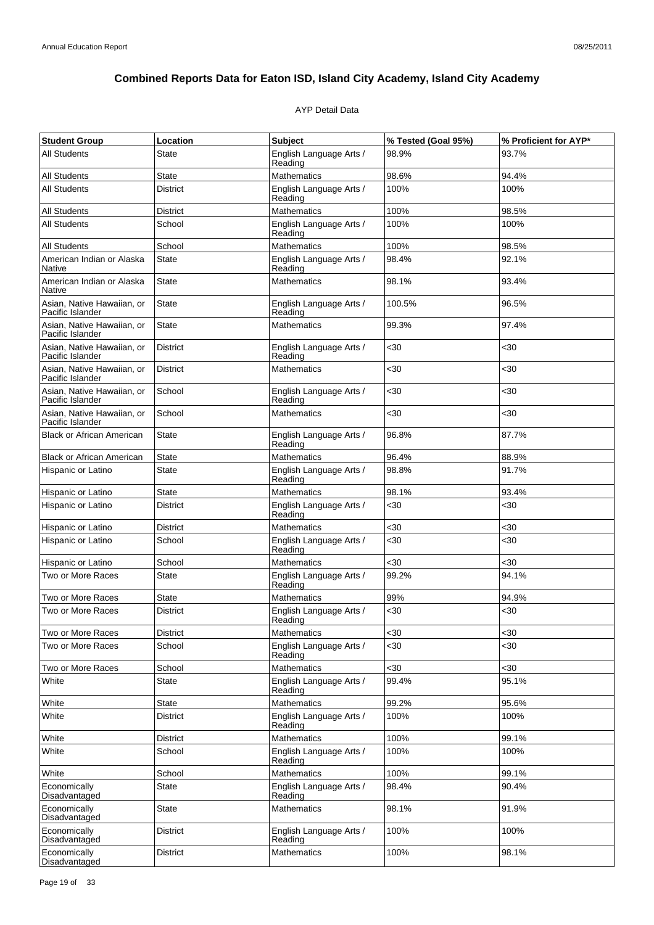### AYP Detail Data

| <b>Student Group</b>                           | Location        | <b>Subject</b>                     | % Tested (Goal 95%) | % Proficient for AYP* |
|------------------------------------------------|-----------------|------------------------------------|---------------------|-----------------------|
| <b>All Students</b>                            | <b>State</b>    | English Language Arts /<br>Reading | 98.9%               | 93.7%                 |
| <b>All Students</b>                            | <b>State</b>    | Mathematics                        | 98.6%               | 94.4%                 |
| All Students                                   | <b>District</b> | English Language Arts /<br>Reading | 100%                | 100%                  |
| <b>All Students</b>                            | <b>District</b> | <b>Mathematics</b>                 | 100%                | 98.5%                 |
| <b>All Students</b><br>School                  |                 | English Language Arts /<br>Reading | 100%                | 100%                  |
| <b>All Students</b>                            | School          | Mathematics                        | 100%                | 98.5%                 |
| American Indian or Alaska<br>Native            | State           | English Language Arts /<br>Reading | 98.4%               | 92.1%                 |
| American Indian or Alaska<br>Native            | <b>State</b>    | <b>Mathematics</b>                 | 98.1%               | 93.4%                 |
| Asian, Native Hawaiian, or<br>Pacific Islander | State           | English Language Arts /<br>Reading | 100.5%              | 96.5%                 |
| Asian, Native Hawaiian, or<br>Pacific Islander | <b>State</b>    | <b>Mathematics</b>                 | 99.3%               | 97.4%                 |
| Asian, Native Hawaiian, or<br>Pacific Islander | <b>District</b> | English Language Arts /<br>Reading | $30$                | <30                   |
| Asian, Native Hawaiian, or<br>Pacific Islander | <b>District</b> | <b>Mathematics</b>                 | $30$                | $30$                  |
| Asian, Native Hawaiian, or<br>Pacific Islander | School          | English Language Arts /<br>Reading | <30                 | <30                   |
| Asian. Native Hawaiian, or<br>Pacific Islander | School          | <b>Mathematics</b>                 | $30$                | <30                   |
| <b>Black or African American</b>               | State           | English Language Arts /<br>Reading | 96.8%               | 87.7%                 |
| <b>Black or African American</b>               | <b>State</b>    | Mathematics                        | 96.4%               | 88.9%                 |
| Hispanic or Latino                             | <b>State</b>    | English Language Arts /<br>Reading | 98.8%               | 91.7%                 |
| Hispanic or Latino                             | <b>State</b>    | Mathematics                        | 98.1%               | 93.4%                 |
| Hispanic or Latino                             | <b>District</b> | English Language Arts /<br>Reading | $30$                | $30$                  |
| Hispanic or Latino                             | <b>District</b> | <b>Mathematics</b>                 | $30$                | <30                   |
| Hispanic or Latino                             | School          | English Language Arts /<br>Reading | <30                 | $30$                  |
| Hispanic or Latino                             | School          | <b>Mathematics</b>                 | <30                 | $30$                  |
| Two or More Races                              | <b>State</b>    | English Language Arts /<br>Reading | 99.2%               | 94.1%                 |
| Two or More Races                              | <b>State</b>    | Mathematics                        | 99%                 | 94.9%                 |
| Two or More Races                              | <b>District</b> | English Language Arts /<br>Reading | $30$                | $30$                  |
| Two or More Races                              | <b>District</b> | <b>Mathematics</b>                 | $30$                | $30$                  |
| Two or More Races                              | School          | English Language Arts /<br>Reading | $30$                | <30                   |
| Two or More Races                              | School          | <b>Mathematics</b>                 | $30$                | $30$                  |
| White                                          | <b>State</b>    | English Language Arts /<br>Reading | 99.4%               | 95.1%                 |
| White                                          | State           | Mathematics                        | 99.2%               | 95.6%                 |
| White                                          | <b>District</b> | English Language Arts /<br>Reading | 100%                | 100%                  |
| White                                          | <b>District</b> | <b>Mathematics</b>                 | 100%                | 99.1%                 |
| White                                          | School          | English Language Arts /<br>Reading | 100%                | 100%                  |
| White                                          | School          | <b>Mathematics</b>                 | 100%                | 99.1%                 |
| Economically<br>Disadvantaged                  | <b>State</b>    | English Language Arts /<br>Reading | 98.4%               | 90.4%                 |
| Economically<br>Disadvantaged                  | <b>State</b>    | Mathematics                        | 98.1%               | 91.9%                 |
| Economically<br>Disadvantaged                  | District        | English Language Arts /<br>Reading | 100%                | 100%                  |
| Economically<br>Disadvantaged                  | District        | <b>Mathematics</b>                 | 100%                | 98.1%                 |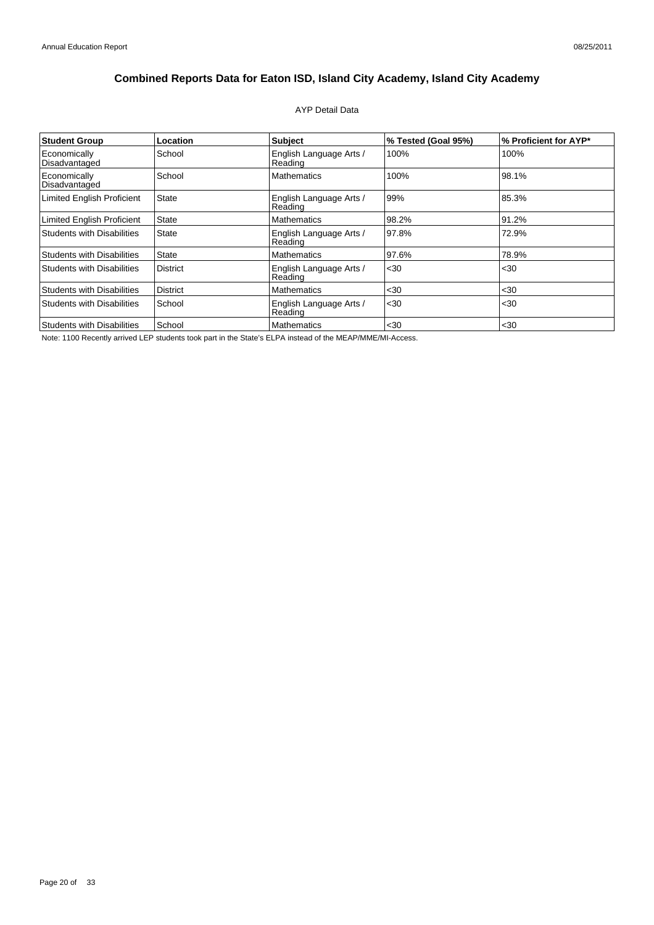### AYP Detail Data

| <b>Student Group</b>              | Location        | <b>Subject</b>                     | % Tested (Goal 95%) | % Proficient for AYP* |
|-----------------------------------|-----------------|------------------------------------|---------------------|-----------------------|
| Economically<br>Disadvantaged     | School          | English Language Arts /<br>Reading | 100%                | 100%                  |
| Economically<br>Disadvantaged     | School          | <b>Mathematics</b>                 | 100%                | 98.1%                 |
| <b>Limited English Proficient</b> | <b>State</b>    | English Language Arts /<br>Reading | 99%                 | 85.3%                 |
| Limited English Proficient        | State           | <b>Mathematics</b>                 | 98.2%               | 91.2%                 |
| <b>Students with Disabilities</b> | <b>State</b>    | English Language Arts /<br>Reading | 97.8%               | 72.9%                 |
| <b>Students with Disabilities</b> | <b>State</b>    | <b>Mathematics</b>                 | 97.6%               | 78.9%                 |
| <b>Students with Disabilities</b> | <b>District</b> | English Language Arts /<br>Reading | $30$                | $30$                  |
| <b>Students with Disabilities</b> | <b>District</b> | <b>Mathematics</b>                 | $30$                | $30$                  |
| <b>Students with Disabilities</b> | School          | English Language Arts /<br>Reading | $30$                | $30$                  |
| <b>Students with Disabilities</b> | School          | <b>Mathematics</b>                 | $30$                | $30$                  |

Note: 1100 Recently arrived LEP students took part in the State's ELPA instead of the MEAP/MME/MI-Access.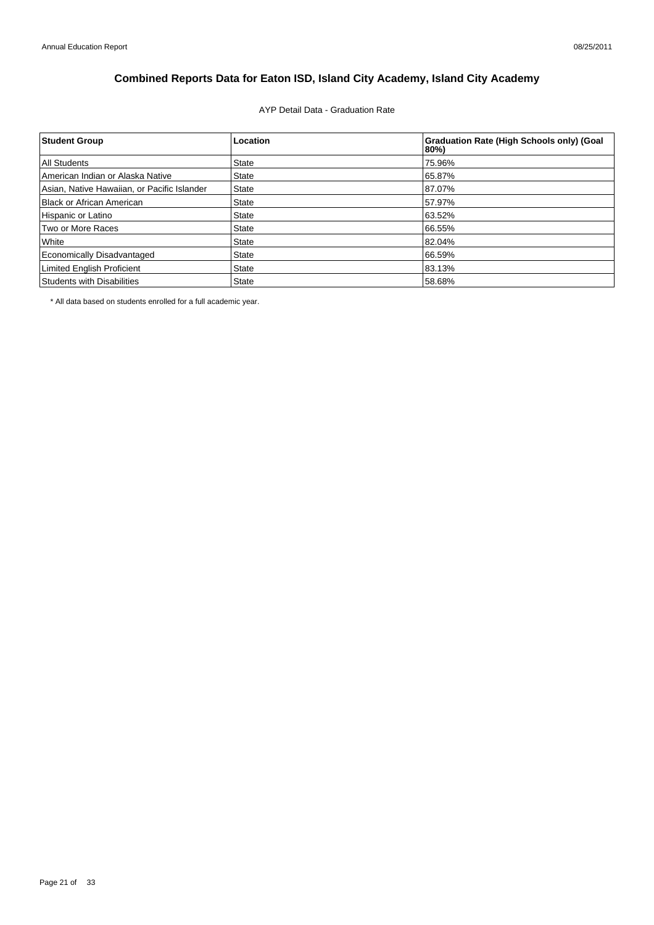## AYP Detail Data - Graduation Rate

| <b>Student Group</b>                        | Location     | <b>Graduation Rate (High Schools only) (Goal</b><br>80%) |
|---------------------------------------------|--------------|----------------------------------------------------------|
| All Students                                | <b>State</b> | 75.96%                                                   |
| American Indian or Alaska Native            | <b>State</b> | 65.87%                                                   |
| Asian, Native Hawaiian, or Pacific Islander | <b>State</b> | 87.07%                                                   |
| Black or African American                   | <b>State</b> | 57.97%                                                   |
| Hispanic or Latino                          | <b>State</b> | 63.52%                                                   |
| Two or More Races                           | <b>State</b> | 66.55%                                                   |
| White                                       | <b>State</b> | 82.04%                                                   |
| Economically Disadvantaged                  | <b>State</b> | 66.59%                                                   |
| <b>Limited English Proficient</b>           | <b>State</b> | 83.13%                                                   |
| Students with Disabilities                  | <b>State</b> | 58.68%                                                   |

\* All data based on students enrolled for a full academic year.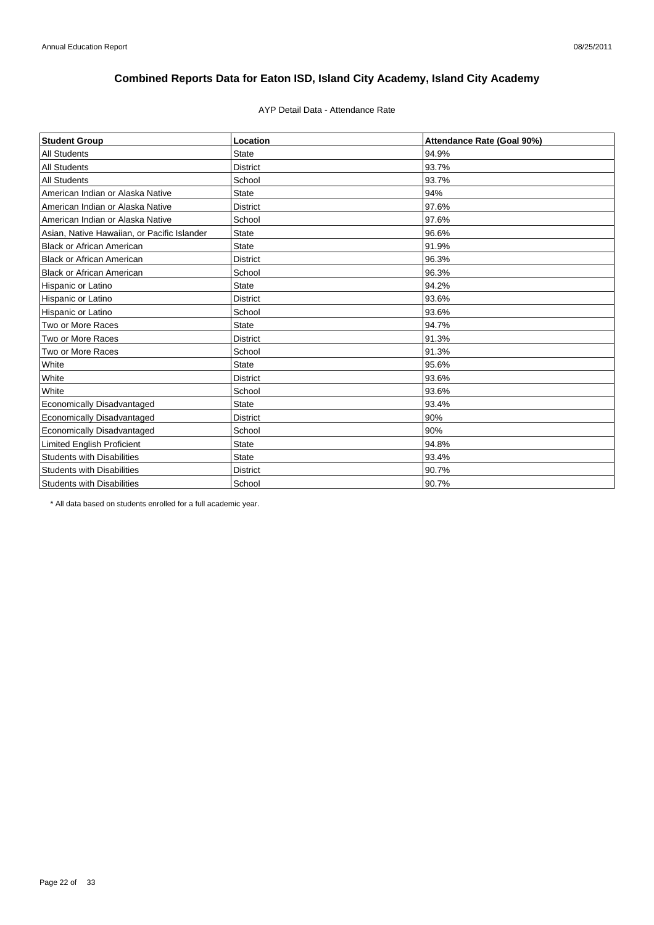### AYP Detail Data - Attendance Rate

| <b>Student Group</b>                        | Location        | Attendance Rate (Goal 90%) |
|---------------------------------------------|-----------------|----------------------------|
| <b>All Students</b>                         | <b>State</b>    | 94.9%                      |
| <b>All Students</b>                         | <b>District</b> | 93.7%                      |
| <b>All Students</b>                         | School          | 93.7%                      |
| American Indian or Alaska Native            | <b>State</b>    | 94%                        |
| American Indian or Alaska Native            | <b>District</b> | 97.6%                      |
| American Indian or Alaska Native            | School          | 97.6%                      |
| Asian, Native Hawaiian, or Pacific Islander | <b>State</b>    | 96.6%                      |
| <b>Black or African American</b>            | <b>State</b>    | 91.9%                      |
| <b>Black or African American</b>            | <b>District</b> | 96.3%                      |
| <b>Black or African American</b>            | School          | 96.3%                      |
| Hispanic or Latino                          | <b>State</b>    | 94.2%                      |
| Hispanic or Latino                          | <b>District</b> | 93.6%                      |
| Hispanic or Latino                          | School          | 93.6%                      |
| Two or More Races                           | <b>State</b>    | 94.7%                      |
| Two or More Races                           | <b>District</b> | 91.3%                      |
| Two or More Races                           | School          | 91.3%                      |
| White                                       | <b>State</b>    | 95.6%                      |
| White                                       | <b>District</b> | 93.6%                      |
| White                                       | School          | 93.6%                      |
| Economically Disadvantaged                  | <b>State</b>    | 93.4%                      |
| Economically Disadvantaged                  | <b>District</b> | 90%                        |
| <b>Economically Disadvantaged</b>           | School          | 90%                        |
| <b>Limited English Proficient</b>           | <b>State</b>    | 94.8%                      |
| <b>Students with Disabilities</b>           | <b>State</b>    | 93.4%                      |
| <b>Students with Disabilities</b>           | <b>District</b> | 90.7%                      |
| <b>Students with Disabilities</b>           | School          | 90.7%                      |

\* All data based on students enrolled for a full academic year.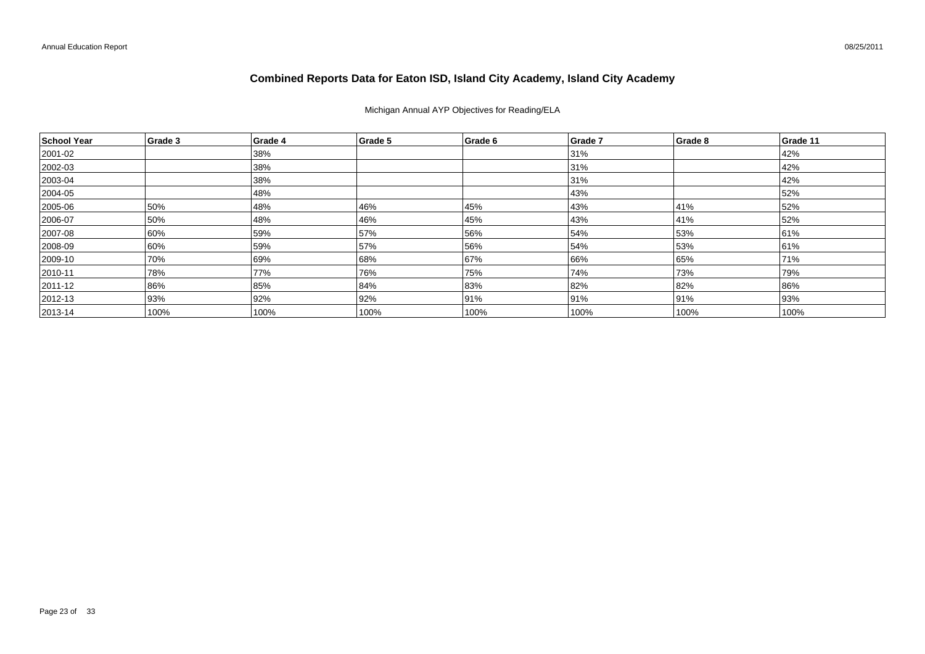### Michigan Annual AYP Objectives for Reading/ELA

| School Year  | Grade 3 | Grade 4 | Grade 5 | Grade 6 | Grade 7 | Grade 8 | Grade 11 |
|--------------|---------|---------|---------|---------|---------|---------|----------|
| 2001-02      |         | 38%     |         |         | 31%     |         | 42%      |
| 2002-03      |         | 38%     |         |         | 31%     |         | 42%      |
| $ 2003 - 04$ |         | 38%     |         |         | 31%     |         | 42%      |
| 2004-05      |         | 48%     |         |         | 43%     |         | 52%      |
| 2005-06      | 50%     | 48%     | 46%     | 45%     | 43%     | 41%     | 52%      |
| 2006-07      | 50%     | 48%     | 46%     | 45%     | 43%     | 41%     | 52%      |
| 2007-08      | 60%     | 59%     | 57%     | 56%     | 54%     | 53%     | 61%      |
| 2008-09      | 60%     | 59%     | 57%     | 56%     | 54%     | 53%     | 61%      |
| 2009-10      | 70%     | 69%     | 68%     | 67%     | 66%     | 65%     | 71%      |
| $ 2010 - 11$ | 78%     | 77%     | 76%     | 75%     | 74%     | 73%     | 79%      |
| 2011-12      | 86%     | 85%     | 84%     | 83%     | 82%     | 82%     | 86%      |
| $ 2012 - 13$ | 93%     | 92%     | 92%     | 91%     | 91%     | 91%     | 93%      |
| $ 2013 - 14$ | 100%    | 100%    | 100%    | 100%    | 100%    | 100%    | 100%     |

08/25/2011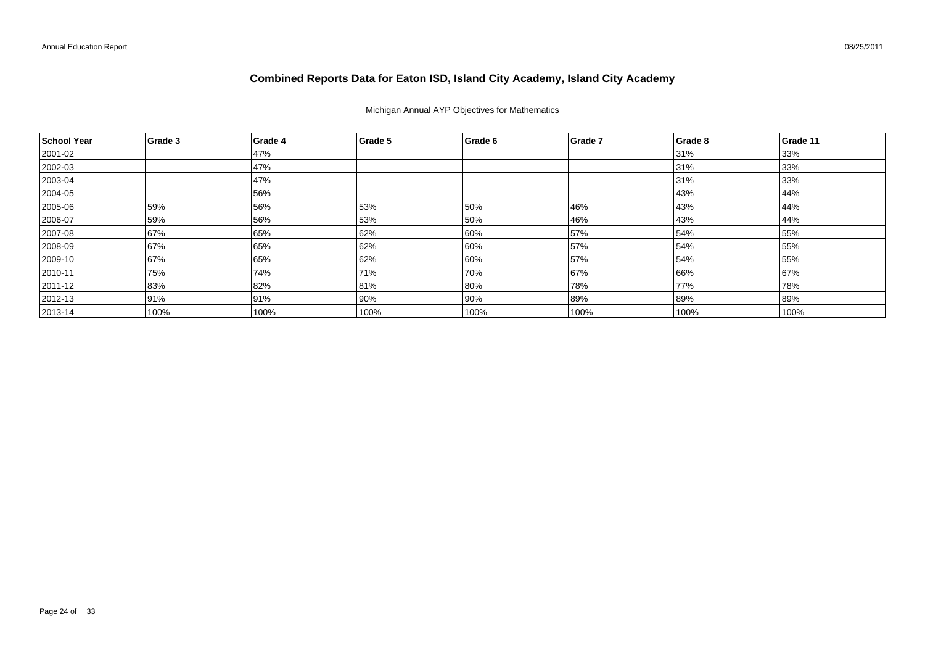### Michigan Annual AYP Objectives for Mathematics

| School Year   | Grade 3 | Grade 4 | Grade 5 | Grade 6 | <b>Grade 7</b> | Grade 8 | Grade 11 |
|---------------|---------|---------|---------|---------|----------------|---------|----------|
| 2001-02       |         | 47%     |         |         |                | 31%     | 33%      |
| 2002-03       |         | 47%     |         |         |                | 31%     | 33%      |
| $ 2003 - 04$  |         | 47%     |         |         |                | 31%     | 33%      |
| 2004-05       |         | 56%     |         |         |                | 43%     | 44%      |
| 2005-06       | 59%     | 56%     | 53%     | 50%     | 46%            | 43%     | 44%      |
| 2006-07       | 59%     | 56%     | 53%     | 50%     | 46%            | 43%     | 44%      |
| 2007-08       | 67%     | 65%     | 62%     | 60%     | 57%            | 54%     | 55%      |
| 2008-09       | 67%     | 65%     | 62%     | 60%     | 57%            | 54%     | 55%      |
| 2009-10       | 67%     | 65%     | 62%     | 60%     | 57%            | 54%     | 55%      |
| $ 2010 - 11$  | 75%     | 74%     | 71%     | 70%     | 67%            | 66%     | 67%      |
| $ 2011 - 12 $ | 83%     | 82%     | 81%     | 80%     | 78%            | 77%     | 78%      |
| $ 2012 - 13$  | 91%     | 91%     | 90%     | 90%     | 89%            | 89%     | 89%      |
| $ 2013 - 14$  | 100%    | 100%    | 100%    | 100%    | 100%           | 100%    | 100%     |

08/25/2011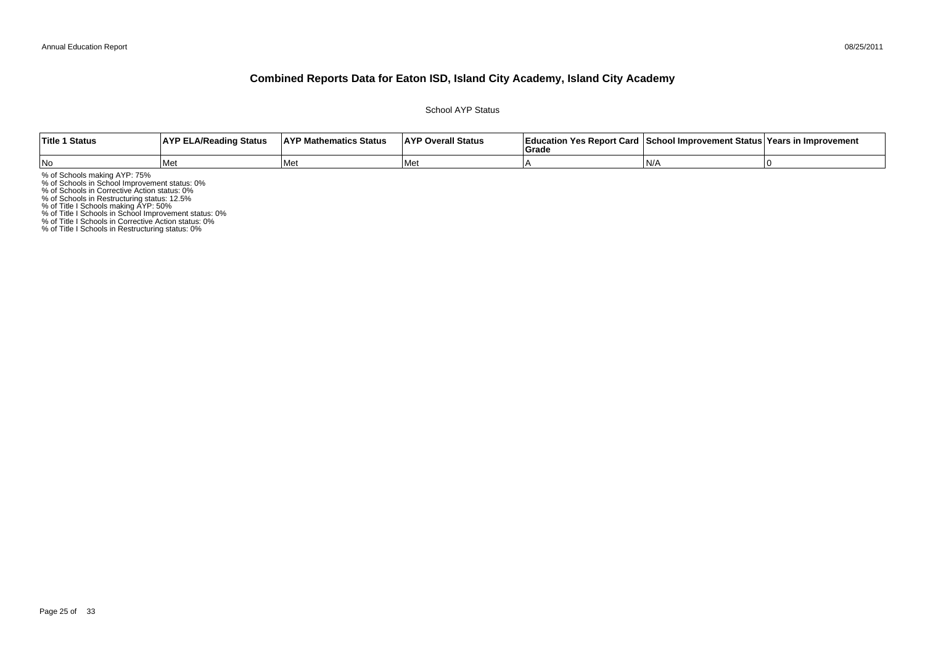#### 08/25/2011

### **Combined Reports Data for Eaton ISD, Island City Academy, Island City Academy**

School AYP Status

| Title 1 Status | <b>AYP ELA/Reading Status</b> | <b>AYP Mathematics Status</b> | <b>AYP Overall Status</b> | াEducation Yes Report Card ⊺School Improvement Status Years in Improvement<br>Grade |       |  |
|----------------|-------------------------------|-------------------------------|---------------------------|-------------------------------------------------------------------------------------|-------|--|
| No             | Me                            | <b>I</b> Met                  | l Met                     |                                                                                     | ı N// |  |

% of Schools making AYP: 75%<br>% of Schools in School Improvement status: 0%<br>% of Schools in Corrective Action status: 0%<br>% of Schools in Restructuring status: 12.5%<br>% of Title I Schools in School Improvement status: 0%<br>% of

% of Title I Schools in Restructuring status: 0%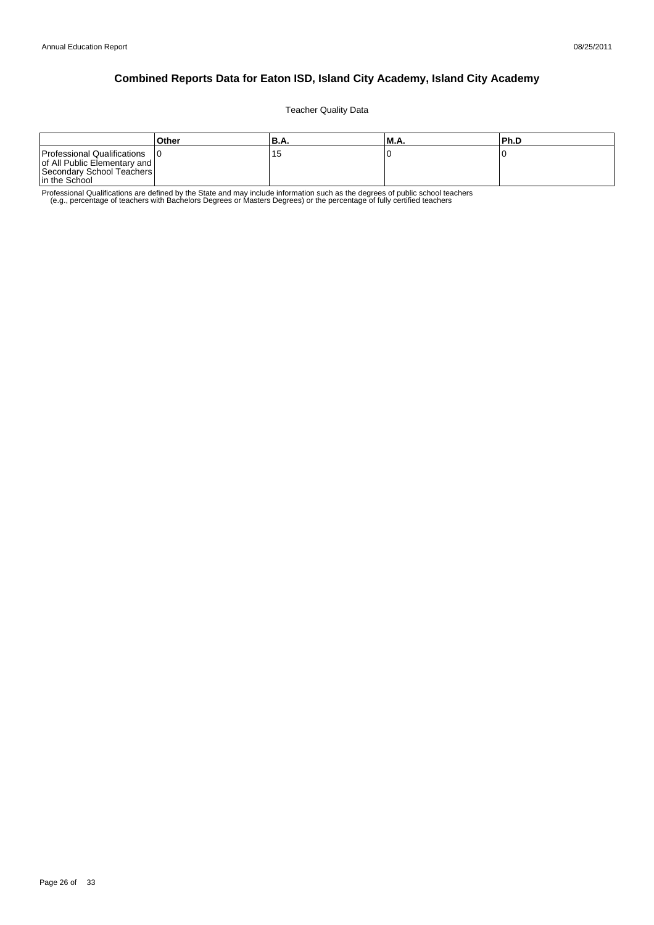Teacher Quality Data

|                                                                                                             | Other | 'B.A.           | M.A. | lPh.D |
|-------------------------------------------------------------------------------------------------------------|-------|-----------------|------|-------|
| Professional Qualifications<br>of All Public Elementary and  <br>Secondary School Teachers<br>In the School |       | <b>15</b><br>∪ו |      |       |

Professional Qualifications are defined by the State and may include information such as the degrees of public school teachers<br>e.g., percentage of teachers with Bachelors Degrees or Masters Degrees) or the percentage of fu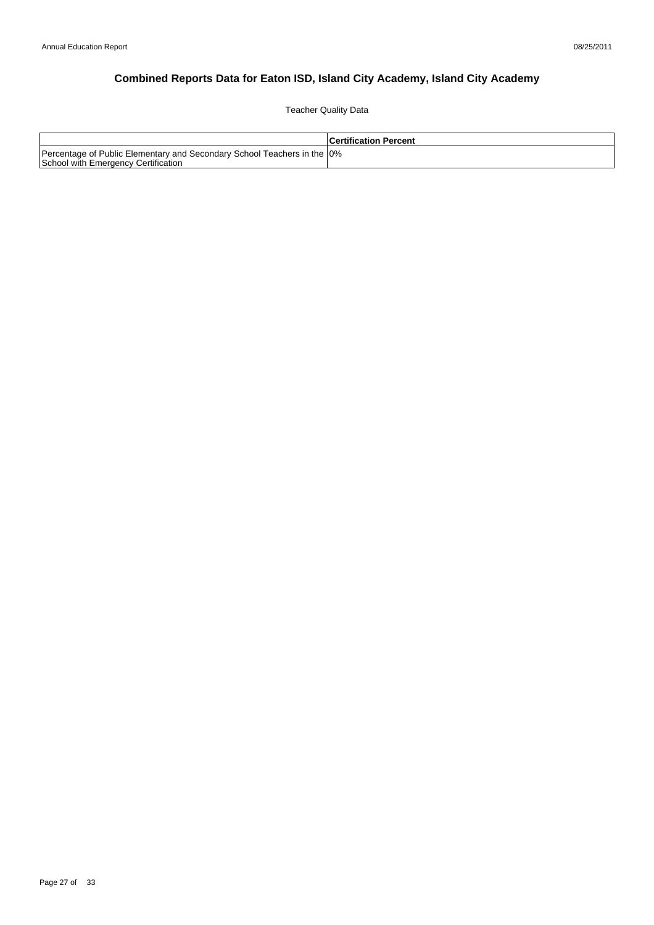Teacher Quality Data

|                                                                                                                 | l Certification Percent |
|-----------------------------------------------------------------------------------------------------------------|-------------------------|
| Percentage of Public Elementary and Secondary School Teachers in the 10%<br>School with Emergency Certification |                         |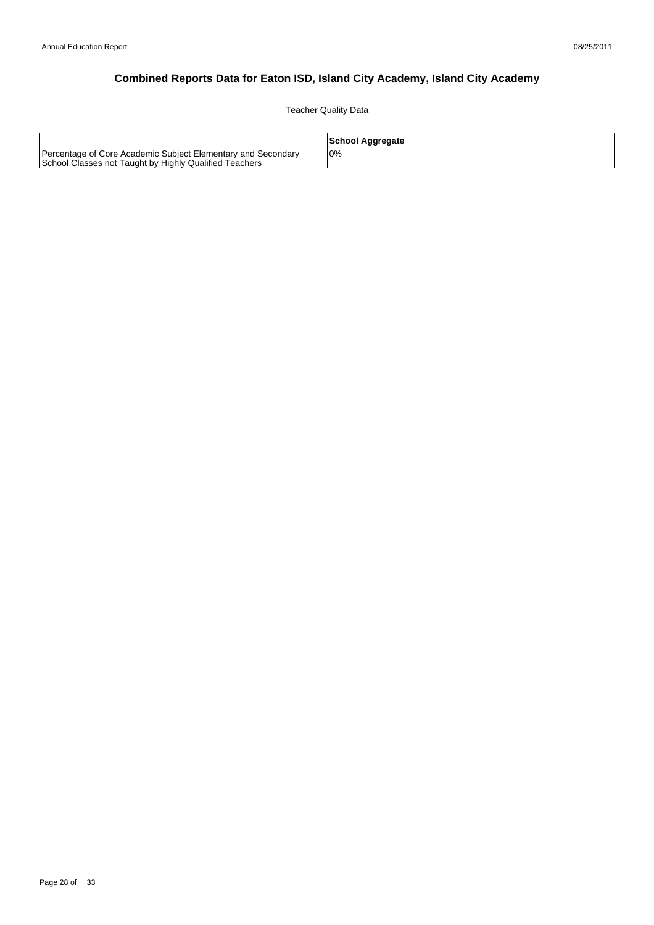Teacher Quality Data

|                                                                                                                        | School Aggregate |
|------------------------------------------------------------------------------------------------------------------------|------------------|
| Percentage of Core Academic Subject Elementary and Secondary<br>School Classes not Taught by Highly Qualified Teachers | 0%               |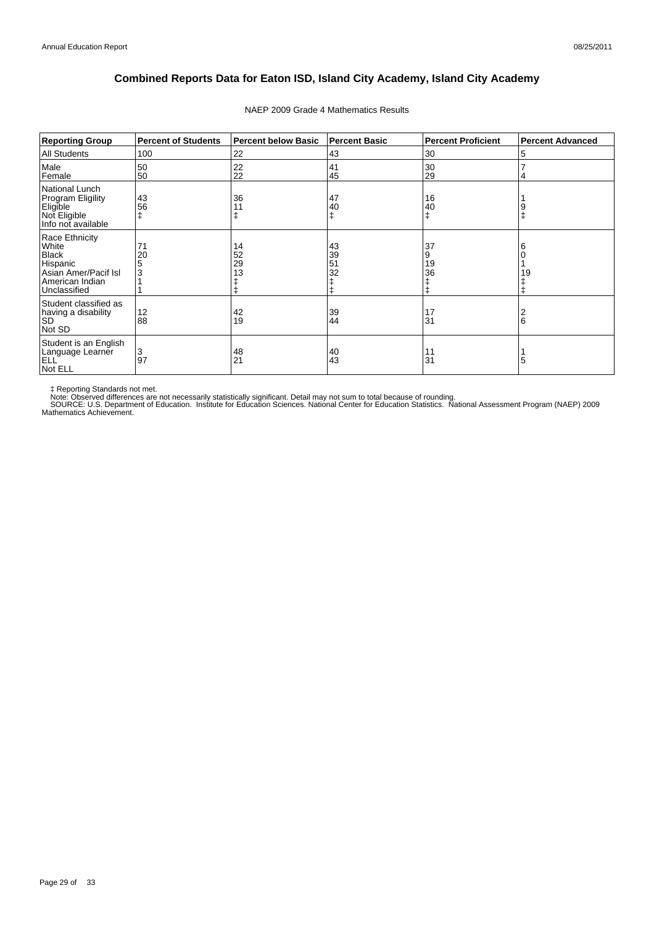| <b>Reporting Group</b>                                                                                         | <b>Percent of Students</b> | <b>Percent below Basic</b> | <b>Percent Basic</b> | <b>Percent Proficient</b> | <b>Percent Advanced</b> |
|----------------------------------------------------------------------------------------------------------------|----------------------------|----------------------------|----------------------|---------------------------|-------------------------|
| <b>All Students</b>                                                                                            | 100                        | 22                         | 43                   | 30                        | 5                       |
| Male<br>Female                                                                                                 | 50<br>50                   | 22<br>22                   | 41<br>45             | 30<br>29                  | 4                       |
| National Lunch<br>Program Eligility<br>Eligible<br>Not Eligible<br>Info not available                          | 43<br>56                   | 36                         | 47<br>40             | 16<br>40                  | 9                       |
| Race Ethnicity<br>White<br><b>Black</b><br>Hispanic<br>Asian Amer/Pacif Isl<br>American Indian<br>Unclassified | 71<br>20<br>5<br>3         | 14<br>52<br>29<br>13       | 43<br>39<br>51<br>32 | 37<br>9<br>19<br>36<br>ŧ  | 6<br>19                 |
| Student classified as<br>having a disability<br><b>SD</b><br>Not SD                                            | 12<br>88                   | 42<br>19                   | 39<br>44             | 17<br>31                  | 2<br>6                  |
| Student is an English<br>Language Learner<br><b>ELL</b><br>Not ELL                                             | 3<br>97                    | 48<br>21                   | 40<br>43             | 11<br>31                  | 5                       |

### NAEP 2009 Grade 4 Mathematics Results

‡ Reporting Standards not met.<br>Note: Observed differences are not necessarily statistically significant. Detail may not sum to total because of rounding.<br>SOURCE: U.S. Department of Education. Institute for Education Scien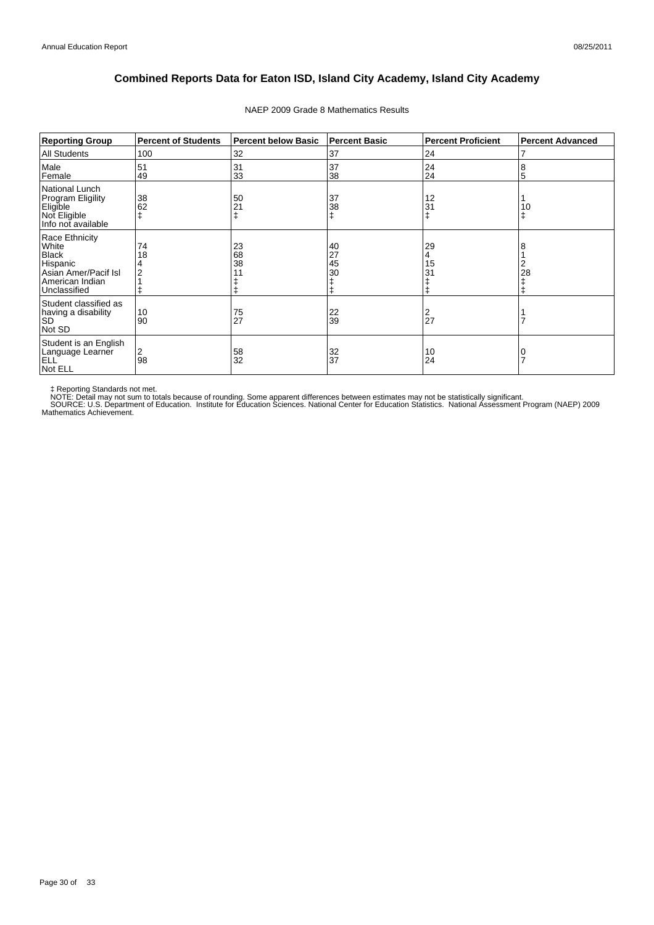| <b>Reporting Group</b>                                                                                         | <b>Percent of Students</b> | <b>Percent below Basic</b> | <b>Percent Basic</b> | <b>Percent Proficient</b> | <b>Percent Advanced</b> |
|----------------------------------------------------------------------------------------------------------------|----------------------------|----------------------------|----------------------|---------------------------|-------------------------|
| <b>All Students</b>                                                                                            | 100                        | 32                         | 37                   | 24                        |                         |
| Male<br>Female                                                                                                 | 51<br>49                   | 31<br>33                   | 37<br>38             | 24<br>24                  | 8<br>5                  |
| National Lunch<br>Program Eligility<br>Eligible<br>Not Eligible<br>Info not available                          | 38<br>62                   | 50<br>21                   | 37<br>38             | 12<br>31                  | 10<br>ŧ                 |
| Race Ethnicity<br>White<br><b>Black</b><br>Hispanic<br>Asian Amer/Pacif Isl<br>American Indian<br>Unclassified | 74<br>18                   | 23<br>68<br>38             | 40<br>27<br>45<br>30 | 29<br>4<br>15<br>31       | 28                      |
| Student classified as<br>having a disability<br><b>SD</b><br>Not SD                                            | 10<br>90                   | 75<br>27                   | 22<br>39             | 2<br>27                   |                         |
| Student is an English<br>Language Learner<br><b>ELL</b><br>Not ELL                                             | 2<br>98                    | 58<br>32                   | 32<br>37             | 10<br>24                  |                         |

### NAEP 2009 Grade 8 Mathematics Results

‡ Reporting Standards not met.<br>NOTE: Detail may not sum to totals because of rounding. Some apparent differences between estimates may not be statistically significant.<br>NOTE: Detail may not sum to totals because of roundin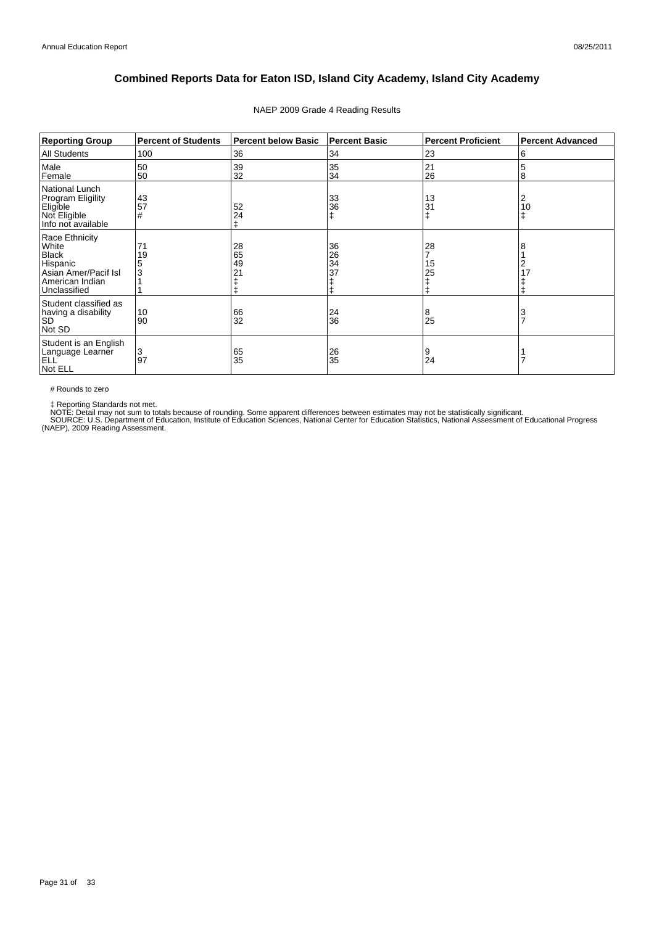| <b>Reporting Group</b>                                                                                         | <b>Percent of Students</b> | <b>Percent below Basic</b> | <b>Percent Basic</b> | <b>Percent Proficient</b> | <b>Percent Advanced</b> |
|----------------------------------------------------------------------------------------------------------------|----------------------------|----------------------------|----------------------|---------------------------|-------------------------|
| <b>All Students</b>                                                                                            | 100                        | 36                         | 34                   | 23                        | 6                       |
| Male<br>Female                                                                                                 | 50<br>50                   | 39<br>32                   | 35<br>34             | 21<br>26                  | 5<br>8                  |
| National Lunch<br>Program Eligility<br>Eligible<br>Not Eligible<br>Info not available                          | 43<br>57<br>#              | 52<br>24                   | 33<br>36             | 13<br>31                  | 2<br>10<br>$\ddagger$   |
| Race Ethnicity<br>White<br><b>Black</b><br>Hispanic<br>Asian Amer/Pacif Isl<br>American Indian<br>Unclassified | 71<br>19<br>5<br>3         | 28<br>65<br>49             | 36<br>26<br>34<br>37 | 28<br>15<br>25<br>ŧ       | 8<br>2<br>17            |
| Student classified as<br>having a disability<br><b>SD</b><br>Not SD                                            | 10<br>90                   | 66<br>32                   | $\frac{24}{36}$      | 8<br>25                   | $\frac{3}{7}$           |
| Student is an English<br>Language Learner<br>ELL<br>Not ELL                                                    | 3<br>97                    | 65<br>35                   | $\frac{26}{35}$      | 9<br>24                   |                         |

### NAEP 2009 Grade 4 Reading Results

# Rounds to zero

‡ Reporting Standards not met.<br>NOTE: Detail may not sum to totals because of rounding. Some apparent differences between estimates may not be statistically significant.<br>SOURCE: U.S. Department of Education, Institute of Ed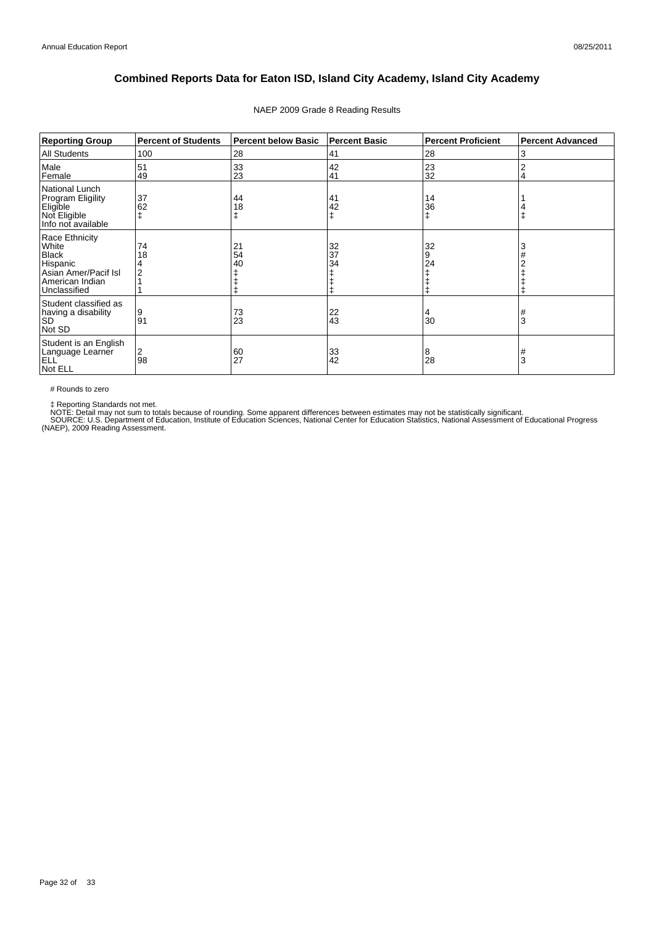| <b>Reporting Group</b>                                                                                         | <b>Percent of Students</b> | <b>Percent below Basic</b> | <b>Percent Basic</b> | <b>Percent Proficient</b> | <b>Percent Advanced</b> |
|----------------------------------------------------------------------------------------------------------------|----------------------------|----------------------------|----------------------|---------------------------|-------------------------|
| <b>All Students</b>                                                                                            | 100                        | 28                         | 41                   | 28                        | 3                       |
| Male<br>Female                                                                                                 | 51<br>49                   | 33<br>23                   | 42<br>41             | 23<br>32                  | 2<br>4                  |
| National Lunch<br>Program Eligility<br>Eligible<br>Not Eligible<br>Info not available                          | 37<br>62                   | 44<br>18                   | 41<br>42             | 14<br>36                  |                         |
| Race Ethnicity<br>White<br><b>Black</b><br>Hispanic<br>Asian Amer/Pacif Isl<br>American Indian<br>Unclassified | 74<br>18                   | 21<br>54<br>40             | 32<br>37<br>34       | 32<br>9<br>24             | 3<br>#                  |
| Student classified as<br>having a disability<br><b>SD</b><br>Not SD                                            | 9<br>91                    | 73<br>23                   | $\frac{22}{43}$      | 4<br>30                   | #<br>3                  |
| Student is an English<br>Language Learner<br>ELL<br>Not ELL                                                    | 2<br>98                    | 60<br>27                   | 33<br>42             | 8<br>28                   | #<br>3                  |

### NAEP 2009 Grade 8 Reading Results

# Rounds to zero

‡ Reporting Standards not met.<br>NOTE: Detail may not sum to totals because of rounding. Some apparent differences between estimates may not be statistically significant.<br>SOURCE: U.S. Department of Education, Institute of Ed